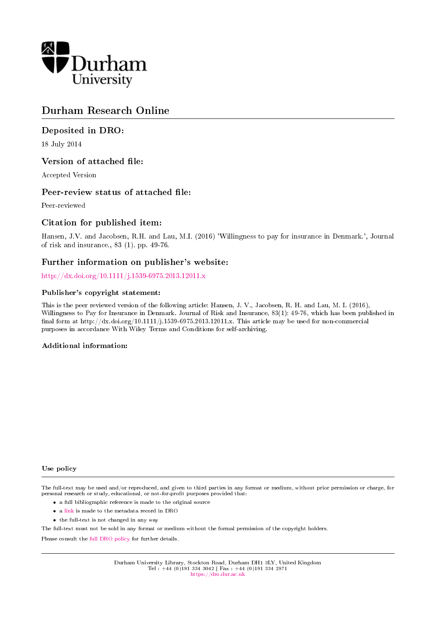

# Durham Research Online

### Deposited in DRO:

18 July 2014

### Version of attached file:

Accepted Version

### Peer-review status of attached file:

Peer-reviewed

### Citation for published item:

Hansen, J.V. and Jacobsen, R.H. and Lau, M.I. (2016) 'Willingness to pay for insurance in Denmark.', Journal of risk and insurance., 83 (1). pp. 49-76.

### Further information on publisher's website:

<http://dx.doi.org/10.1111/j.1539-6975.2013.12011.x>

#### Publisher's copyright statement:

This is the peer reviewed version of the following article: Hansen, J. V., Jacobsen, R. H. and Lau, M. I. (2016), Willingness to Pay for Insurance in Denmark. Journal of Risk and Insurance, 83(1): 49-76, which has been published in final form at http://dx.doi.org/10.1111/j.1539-6975.2013.12011.x. This article may be used for non-commercial purposes in accordance With Wiley Terms and Conditions for self-archiving.

#### Additional information:

#### Use policy

The full-text may be used and/or reproduced, and given to third parties in any format or medium, without prior permission or charge, for personal research or study, educational, or not-for-profit purposes provided that:

- a full bibliographic reference is made to the original source
- a [link](http://dro.dur.ac.uk/13085/) is made to the metadata record in DRO
- the full-text is not changed in any way

The full-text must not be sold in any format or medium without the formal permission of the copyright holders.

Please consult the [full DRO policy](https://dro.dur.ac.uk/policies/usepolicy.pdf) for further details.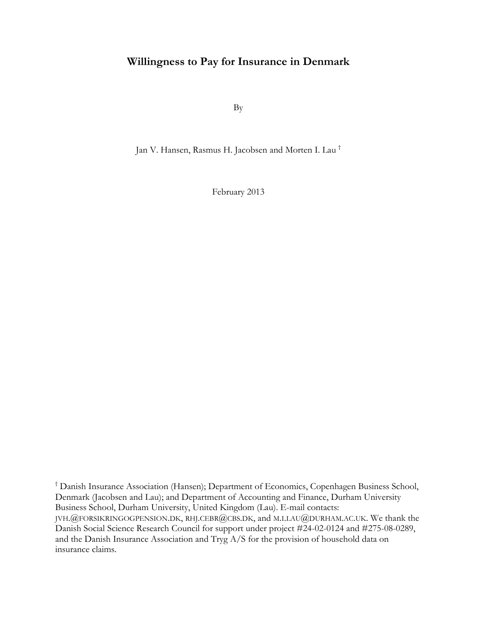# **Willingness to Pay for Insurance in Denmark**

By

Jan V. Hansen, Rasmus H. Jacobsen and Morten I. Lau †

February 2013

† Danish Insurance Association (Hansen); Department of Economics, Copenhagen Business School, Denmark (Jacobsen and Lau); and Department of Accounting and Finance, Durham University Business School, Durham University, United Kingdom (Lau). E-mail contacts: JVH.@FORSIKRINGOGPENSION.DK, RHJ.CEBR@CBS.DK, and M.I.LAU@DURHAM.AC.UK. We thank the Danish Social Science Research Council for support under project #24-02-0124 and #275-08-0289, and the Danish Insurance Association and Tryg A/S for the provision of household data on insurance claims.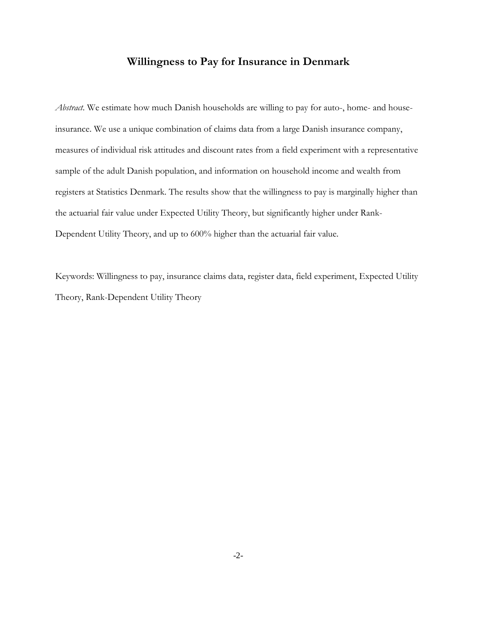## **Willingness to Pay for Insurance in Denmark**

*Abstract*. We estimate how much Danish households are willing to pay for auto-, home- and houseinsurance. We use a unique combination of claims data from a large Danish insurance company, measures of individual risk attitudes and discount rates from a field experiment with a representative sample of the adult Danish population, and information on household income and wealth from registers at Statistics Denmark. The results show that the willingness to pay is marginally higher than the actuarial fair value under Expected Utility Theory, but significantly higher under Rank-Dependent Utility Theory, and up to 600% higher than the actuarial fair value.

Keywords: Willingness to pay, insurance claims data, register data, field experiment, Expected Utility Theory, Rank-Dependent Utility Theory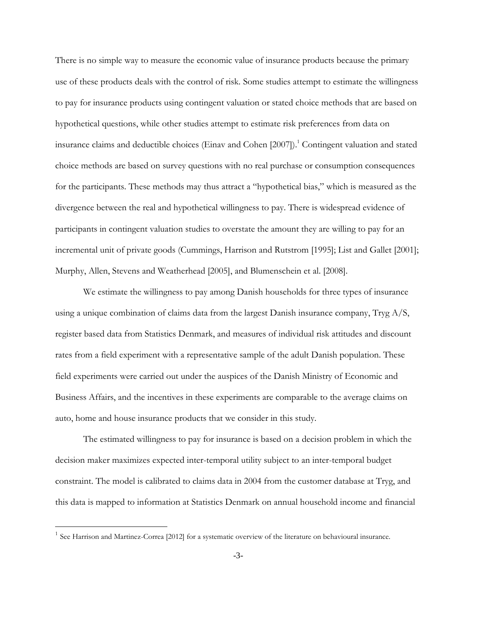There is no simple way to measure the economic value of insurance products because the primary use of these products deals with the control of risk. Some studies attempt to estimate the willingness to pay for insurance products using contingent valuation or stated choice methods that are based on hypothetical questions, while other studies attempt to estimate risk preferences from data on insurance claims and deductible choices (Einav and Cohen [2007]). <sup>1</sup> Contingent valuation and stated choice methods are based on survey questions with no real purchase or consumption consequences for the participants. These methods may thus attract a "hypothetical bias," which is measured as the divergence between the real and hypothetical willingness to pay. There is widespread evidence of participants in contingent valuation studies to overstate the amount they are willing to pay for an incremental unit of private goods (Cummings, Harrison and Rutstrom [1995]; List and Gallet [2001]; Murphy, Allen, Stevens and Weatherhead [2005], and Blumenschein et al. [2008].

We estimate the willingness to pay among Danish households for three types of insurance using a unique combination of claims data from the largest Danish insurance company, Tryg  $A/S$ , register based data from Statistics Denmark, and measures of individual risk attitudes and discount rates from a field experiment with a representative sample of the adult Danish population. These field experiments were carried out under the auspices of the Danish Ministry of Economic and Business Affairs, and the incentives in these experiments are comparable to the average claims on auto, home and house insurance products that we consider in this study.

The estimated willingness to pay for insurance is based on a decision problem in which the decision maker maximizes expected inter-temporal utility subject to an inter-temporal budget constraint. The model is calibrated to claims data in 2004 from the customer database at Tryg, and this data is mapped to information at Statistics Denmark on annual household income and financial

<sup>1</sup> See Harrison and Martinez-Correa [2012] for a systematic overview of the literature on behavioural insurance.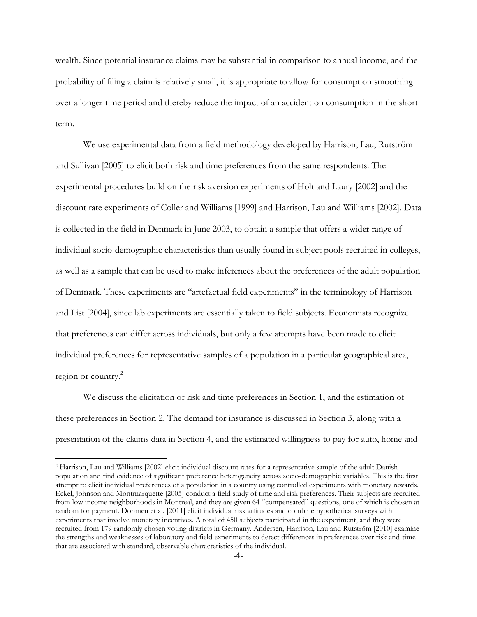wealth. Since potential insurance claims may be substantial in comparison to annual income, and the probability of filing a claim is relatively small, it is appropriate to allow for consumption smoothing over a longer time period and thereby reduce the impact of an accident on consumption in the short term.

We use experimental data from a field methodology developed by Harrison, Lau, Rutström and Sullivan [2005] to elicit both risk and time preferences from the same respondents. The experimental procedures build on the risk aversion experiments of Holt and Laury [2002] and the discount rate experiments of Coller and Williams [1999] and Harrison, Lau and Williams [2002]. Data is collected in the field in Denmark in June 2003, to obtain a sample that offers a wider range of individual socio-demographic characteristics than usually found in subject pools recruited in colleges, as well as a sample that can be used to make inferences about the preferences of the adult population of Denmark. These experiments are "artefactual field experiments" in the terminology of Harrison and List [2004], since lab experiments are essentially taken to field subjects. Economists recognize that preferences can differ across individuals, but only a few attempts have been made to elicit individual preferences for representative samples of a population in a particular geographical area, region or country.<sup>2</sup>

We discuss the elicitation of risk and time preferences in Section 1, and the estimation of these preferences in Section 2. The demand for insurance is discussed in Section 3, along with a presentation of the claims data in Section 4, and the estimated willingness to pay for auto, home and

<sup>2</sup> Harrison, Lau and Williams [2002] elicit individual discount rates for a representative sample of the adult Danish population and find evidence of significant preference heterogeneity across socio-demographic variables. This is the first attempt to elicit individual preferences of a population in a country using controlled experiments with monetary rewards. Eckel, Johnson and Montmarquette [2005] conduct a field study of time and risk preferences. Their subjects are recruited from low income neighborhoods in Montreal, and they are given 64 "compensated" questions, one of which is chosen at random for payment. Dohmen et al. [2011] elicit individual risk attitudes and combine hypothetical surveys with experiments that involve monetary incentives. A total of 450 subjects participated in the experiment, and they were recruited from 179 randomly chosen voting districts in Germany. Andersen, Harrison, Lau and Rutström [2010] examine the strengths and weaknesses of laboratory and field experiments to detect differences in preferences over risk and time that are associated with standard, observable characteristics of the individual.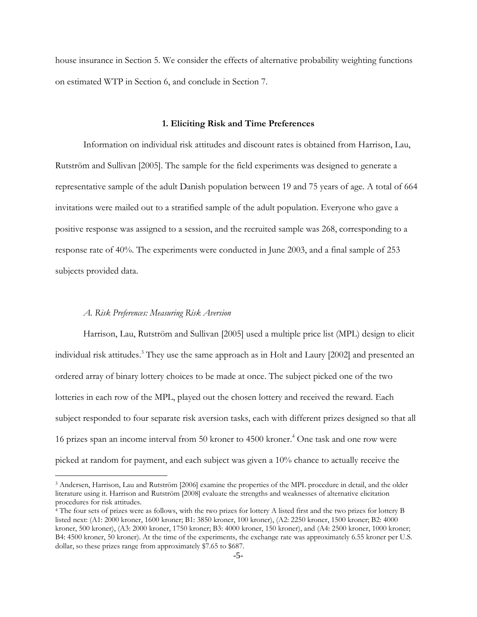house insurance in Section 5. We consider the effects of alternative probability weighting functions on estimated WTP in Section 6, and conclude in Section 7.

#### **1. Eliciting Risk and Time Preferences**

Information on individual risk attitudes and discount rates is obtained from Harrison, Lau, Rutström and Sullivan [2005]. The sample for the field experiments was designed to generate a representative sample of the adult Danish population between 19 and 75 years of age. A total of 664 invitations were mailed out to a stratified sample of the adult population. Everyone who gave a positive response was assigned to a session, and the recruited sample was 268, corresponding to a response rate of 40%. The experiments were conducted in June 2003, and a final sample of 253 subjects provided data.

#### *A. Risk Preferences: Measuring Risk Aversion*

 $\overline{a}$ 

Harrison, Lau, Rutström and Sullivan [2005] used a multiple price list (MPL) design to elicit individual risk attitudes. <sup>3</sup> They use the same approach as in Holt and Laury [2002] and presented an ordered array of binary lottery choices to be made at once. The subject picked one of the two lotteries in each row of the MPL, played out the chosen lottery and received the reward. Each subject responded to four separate risk aversion tasks, each with different prizes designed so that all 16 prizes span an income interval from 50 kroner to 4500 kroner. <sup>4</sup> One task and one row were picked at random for payment, and each subject was given a 10% chance to actually receive the

<sup>3</sup> Andersen, Harrison, Lau and Rutström [2006] examine the properties of the MPL procedure in detail, and the older literature using it. Harrison and Rutström [2008] evaluate the strengths and weaknesses of alternative elicitation procedures for risk attitudes.

<sup>4</sup> The four sets of prizes were as follows, with the two prizes for lottery A listed first and the two prizes for lottery B listed next: (A1: 2000 kroner, 1600 kroner; B1: 3850 kroner, 100 kroner), (A2: 2250 kroner, 1500 kroner; B2: 4000 kroner, 500 kroner), (A3: 2000 kroner, 1750 kroner; B3: 4000 kroner, 150 kroner), and (A4: 2500 kroner, 1000 kroner; B4: 4500 kroner, 50 kroner). At the time of the experiments, the exchange rate was approximately 6.55 kroner per U.S. dollar, so these prizes range from approximately \$7.65 to \$687.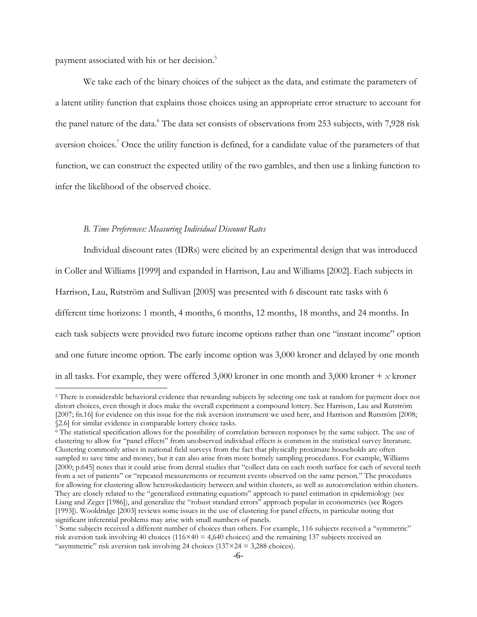payment associated with his or her decision.<sup>5</sup>

 $\overline{a}$ 

We take each of the binary choices of the subject as the data, and estimate the parameters of a latent utility function that explains those choices using an appropriate error structure to account for the panel nature of the data.<sup>6</sup> The data set consists of observations from 253 subjects, with 7,928 risk aversion choices.<sup>7</sup> Once the utility function is defined, for a candidate value of the parameters of that function, we can construct the expected utility of the two gambles, and then use a linking function to infer the likelihood of the observed choice.

#### *B. Time Preferences: Measuring Individual Discount Rates*

Individual discount rates (IDRs) were elicited by an experimental design that was introduced in Coller and Williams [1999] and expanded in Harrison, Lau and Williams [2002]. Each subjects in Harrison, Lau, Rutström and Sullivan [2005] was presented with 6 discount rate tasks with 6 different time horizons: 1 month, 4 months, 6 months, 12 months, 18 months, and 24 months. In each task subjects were provided two future income options rather than one "instant income" option and one future income option. The early income option was 3,000 kroner and delayed by one month in all tasks. For example, they were offered 3,000 kroner in one month and 3,000 kroner  $+x$  kroner

<sup>&</sup>lt;sup>5</sup> There is considerable behavioral evidence that rewarding subjects by selecting one task at random for payment does not distort choices, even though it does make the overall experiment a compound lottery. See Harrison, Lau and Rutström [2007; fn.16] for evidence on this issue for the risk aversion instrument we used here, and Harrison and Rutström [2008; §2.6] for similar evidence in comparable lottery choice tasks.

<sup>6</sup> The statistical specification allows for the possibility of correlation between responses by the same subject. The use of clustering to allow for "panel effects" from unobserved individual effects is common in the statistical survey literature. Clustering commonly arises in national field surveys from the fact that physically proximate households are often sampled to save time and money, but it can also arise from more homely sampling procedures. For example, Williams [2000; p.645] notes that it could arise from dental studies that "collect data on each tooth surface for each of several teeth from a set of patients" or "repeated measurements or recurrent events observed on the same person." The procedures for allowing for clustering allow heteroskedasticity between and within clusters, as well as autocorrelation within clusters. They are closely related to the "generalized estimating equations" approach to panel estimation in epidemiology (see Liang and Zeger [1986]), and generalize the "robust standard errors" approach popular in econometrics (see Rogers [1993]). Wooldridge [2003] reviews some issues in the use of clustering for panel effects, in particular noting that significant inferential problems may arise with small numbers of panels.

<sup>&</sup>lt;sup>7</sup> Some subjects received a different number of choices than others. For example, 116 subjects received a "symmetric" risk aversion task involving 40 choices ( $116 \times 40 = 4,640$  choices) and the remaining 137 subjects received an "asymmetric" risk aversion task involving 24 choices ( $137 \times 24 = 3,288$  choices).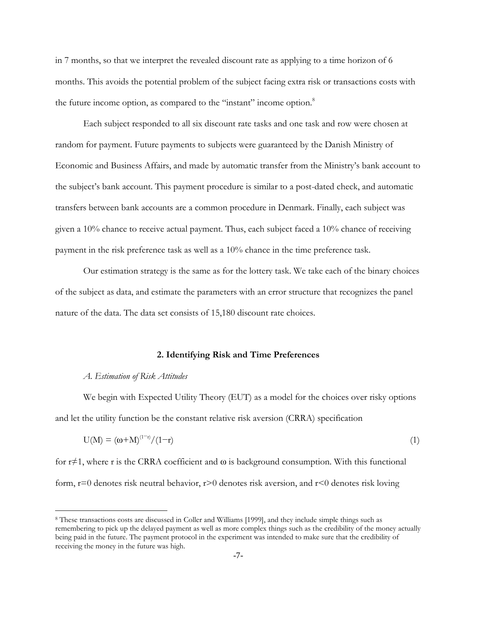in 7 months, so that we interpret the revealed discount rate as applying to a time horizon of 6 months. This avoids the potential problem of the subject facing extra risk or transactions costs with the future income option, as compared to the "instant" income option.<sup>8</sup>

Each subject responded to all six discount rate tasks and one task and row were chosen at random for payment. Future payments to subjects were guaranteed by the Danish Ministry of Economic and Business Affairs, and made by automatic transfer from the Ministry's bank account to the subject's bank account. This payment procedure is similar to a post-dated check, and automatic transfers between bank accounts are a common procedure in Denmark. Finally, each subject was given a 10% chance to receive actual payment. Thus, each subject faced a 10% chance of receiving payment in the risk preference task as well as a 10% chance in the time preference task.

Our estimation strategy is the same as for the lottery task. We take each of the binary choices of the subject as data, and estimate the parameters with an error structure that recognizes the panel nature of the data. The data set consists of 15,180 discount rate choices.

#### **2. Identifying Risk and Time Preferences**

#### *A. Estimation of Risk Attitudes*

 $\overline{a}$ 

We begin with Expected Utility Theory (EUT) as a model for the choices over risky options and let the utility function be the constant relative risk aversion (CRRA) specification

$$
U(M) = (\omega + M)^{(1-r)}/(1-r) \tag{1}
$$

for  $r \neq 1$ , where r is the CRRA coefficient and  $\omega$  is background consumption. With this functional form,  $r=0$  denotes risk neutral behavior,  $r>0$  denotes risk aversion, and  $r<0$  denotes risk loving

<sup>8</sup> These transactions costs are discussed in Coller and Williams [1999], and they include simple things such as remembering to pick up the delayed payment as well as more complex things such as the credibility of the money actually being paid in the future. The payment protocol in the experiment was intended to make sure that the credibility of receiving the money in the future was high.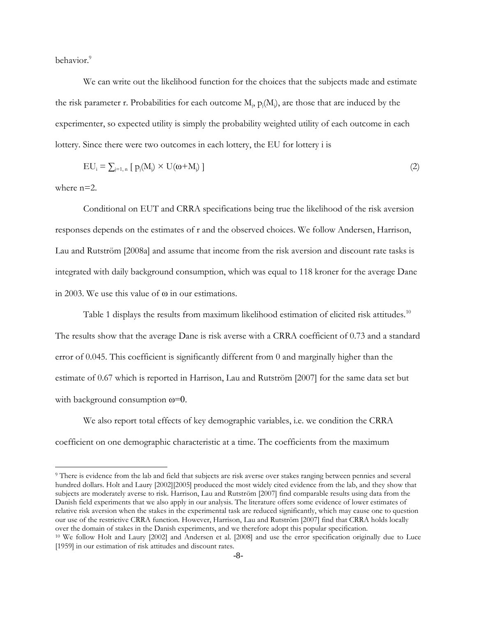behavior<sup>9</sup>

We can write out the likelihood function for the choices that the subjects made and estimate the risk parameter r. Probabilities for each outcome  $M_j$ ,  $p_j(M_j)$ , are those that are induced by the experimenter, so expected utility is simply the probability weighted utility of each outcome in each lottery. Since there were two outcomes in each lottery, the EU for lottery i is

$$
EU_i = \sum_{j=1, n} \left[ p_j(M_j) \times U(\omega + M_j) \right] \tag{2}
$$

where  $n=2$ .

 $\overline{a}$ 

Conditional on EUT and CRRA specifications being true the likelihood of the risk aversion responses depends on the estimates of r and the observed choices. We follow Andersen, Harrison, Lau and Rutström [2008a] and assume that income from the risk aversion and discount rate tasks is integrated with daily background consumption, which was equal to 118 kroner for the average Dane in 2003. We use this value of ω in our estimations.

Table 1 displays the results from maximum likelihood estimation of elicited risk attitudes.<sup>10</sup> The results show that the average Dane is risk averse with a CRRA coefficient of 0.73 and a standard error of 0.045. This coefficient is significantly different from 0 and marginally higher than the estimate of 0.67 which is reported in Harrison, Lau and Rutström [2007] for the same data set but with background consumption  $\omega = 0$ .

We also report total effects of key demographic variables, i.e. we condition the CRRA coefficient on one demographic characteristic at a time. The coefficients from the maximum

<sup>9</sup> There is evidence from the lab and field that subjects are risk averse over stakes ranging between pennies and several hundred dollars. Holt and Laury [2002][2005] produced the most widely cited evidence from the lab, and they show that subjects are moderately averse to risk. Harrison, Lau and Rutström [2007] find comparable results using data from the Danish field experiments that we also apply in our analysis. The literature offers some evidence of lower estimates of relative risk aversion when the stakes in the experimental task are reduced significantly, which may cause one to question our use of the restrictive CRRA function. However, Harrison, Lau and Rutström [2007] find that CRRA holds locally over the domain of stakes in the Danish experiments, and we therefore adopt this popular specification. <sup>10</sup> We follow Holt and Laury [2002] and Andersen et al. [2008] and use the error specification originally due to Luce [1959] in our estimation of risk attitudes and discount rates.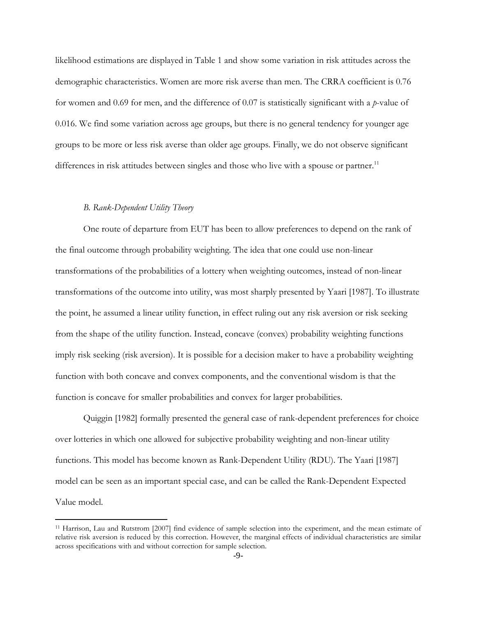likelihood estimations are displayed in Table 1 and show some variation in risk attitudes across the demographic characteristics. Women are more risk averse than men. The CRRA coefficient is 0.76 for women and 0.69 for men, and the difference of 0.07 is statistically significant with a *p*-value of 0.016. We find some variation across age groups, but there is no general tendency for younger age groups to be more or less risk averse than older age groups. Finally, we do not observe significant differences in risk attitudes between singles and those who live with a spouse or partner.<sup>11</sup>

#### *B. Rank-Dependent Utility Theory*

 $\overline{a}$ 

One route of departure from EUT has been to allow preferences to depend on the rank of the final outcome through probability weighting. The idea that one could use non-linear transformations of the probabilities of a lottery when weighting outcomes, instead of non-linear transformations of the outcome into utility, was most sharply presented by Yaari [1987]. To illustrate the point, he assumed a linear utility function, in effect ruling out any risk aversion or risk seeking from the shape of the utility function. Instead, concave (convex) probability weighting functions imply risk seeking (risk aversion). It is possible for a decision maker to have a probability weighting function with both concave and convex components, and the conventional wisdom is that the function is concave for smaller probabilities and convex for larger probabilities.

Quiggin [1982] formally presented the general case of rank-dependent preferences for choice over lotteries in which one allowed for subjective probability weighting and non-linear utility functions. This model has become known as Rank-Dependent Utility (RDU). The Yaari [1987] model can be seen as an important special case, and can be called the Rank-Dependent Expected Value model.

<sup>11</sup> Harrison, Lau and Rutstrom [2007] find evidence of sample selection into the experiment, and the mean estimate of relative risk aversion is reduced by this correction. However, the marginal effects of individual characteristics are similar across specifications with and without correction for sample selection.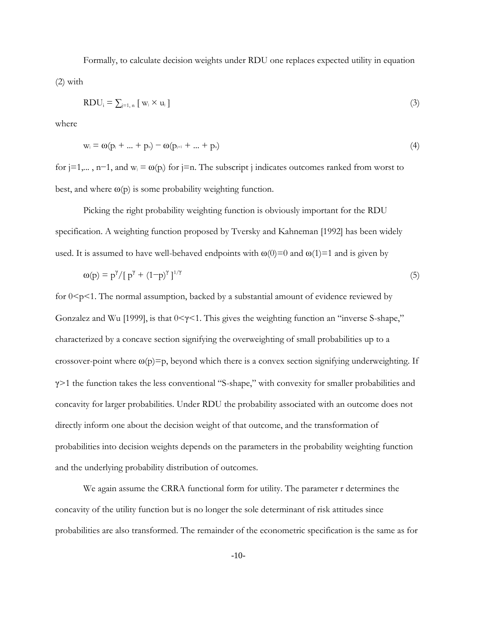Formally, to calculate decision weights under RDU one replaces expected utility in equation (2) with

$$
RDU_i = \sum_{j=1, n} [w_j \times u_j]
$$
 (3)

where

$$
w_i = \omega(p_i + ... + p_n) - \omega(p_{i+1} + ... + p_n)
$$
\n(4)

for j=1,..., n−1, and w<sub>j</sub> =  $\omega(p_i)$  for j=n. The subscript j indicates outcomes ranked from worst to best, and where  $\omega(p)$  is some probability weighting function.

Picking the right probability weighting function is obviously important for the RDU specification. A weighting function proposed by Tversky and Kahneman [1992] has been widely used. It is assumed to have well-behaved endpoints with  $\omega(0)=0$  and  $\omega(1)=1$  and is given by

$$
\omega(p) = p^{\gamma} / [p^{\gamma} + (1-p)^{\gamma}]^{1/\gamma}
$$
\n<sup>(5)</sup>

for  $0 \leq p \leq 1$ . The normal assumption, backed by a substantial amount of evidence reviewed by Gonzalez and Wu [1999], is that 0<γ<1. This gives the weighting function an "inverse S-shape," characterized by a concave section signifying the overweighting of small probabilities up to a crossover-point where  $\omega(p)=p$ , beyond which there is a convex section signifying underweighting. If γ>1 the function takes the less conventional "S-shape," with convexity for smaller probabilities and concavity for larger probabilities. Under RDU the probability associated with an outcome does not directly inform one about the decision weight of that outcome, and the transformation of probabilities into decision weights depends on the parameters in the probability weighting function and the underlying probability distribution of outcomes.

We again assume the CRRA functional form for utility. The parameter r determines the concavity of the utility function but is no longer the sole determinant of risk attitudes since probabilities are also transformed. The remainder of the econometric specification is the same as for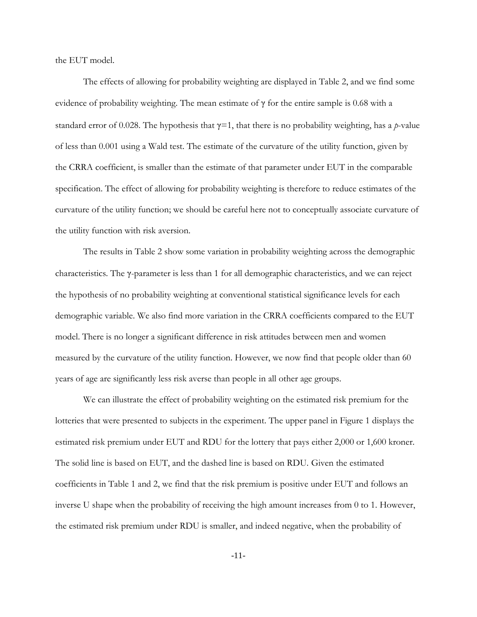the EUT model.

The effects of allowing for probability weighting are displayed in Table 2, and we find some evidence of probability weighting. The mean estimate of γ for the entire sample is 0.68 with a standard error of 0.028. The hypothesis that  $\gamma=1$ , that there is no probability weighting, has a *p*-value of less than 0.001 using a Wald test. The estimate of the curvature of the utility function, given by the CRRA coefficient, is smaller than the estimate of that parameter under EUT in the comparable specification. The effect of allowing for probability weighting is therefore to reduce estimates of the curvature of the utility function; we should be careful here not to conceptually associate curvature of the utility function with risk aversion.

The results in Table 2 show some variation in probability weighting across the demographic characteristics. The γ-parameter is less than 1 for all demographic characteristics, and we can reject the hypothesis of no probability weighting at conventional statistical significance levels for each demographic variable. We also find more variation in the CRRA coefficients compared to the EUT model. There is no longer a significant difference in risk attitudes between men and women measured by the curvature of the utility function. However, we now find that people older than 60 years of age are significantly less risk averse than people in all other age groups.

We can illustrate the effect of probability weighting on the estimated risk premium for the lotteries that were presented to subjects in the experiment. The upper panel in Figure 1 displays the estimated risk premium under EUT and RDU for the lottery that pays either 2,000 or 1,600 kroner. The solid line is based on EUT, and the dashed line is based on RDU. Given the estimated coefficients in Table 1 and 2, we find that the risk premium is positive under EUT and follows an inverse U shape when the probability of receiving the high amount increases from 0 to 1. However, the estimated risk premium under RDU is smaller, and indeed negative, when the probability of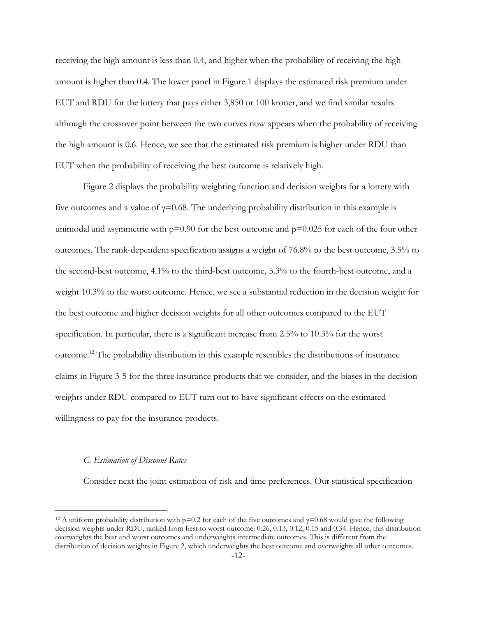receiving the high amount is less than 0.4, and higher when the probability of receiving the high amount is higher than 0.4. The lower panel in Figure 1 displays the estimated risk premium under EUT and RDU for the lottery that pays either 3,850 or 100 kroner, and we find similar results although the crossover point between the two curves now appears when the probability of receiving the high amount is 0.6. Hence, we see that the estimated risk premium is higher under RDU than EUT when the probability of receiving the best outcome is relatively high.

Figure 2 displays the probability weighting function and decision weights for a lottery with five outcomes and a value of  $\gamma$ =0.68. The underlying probability distribution in this example is unimodal and asymmetric with  $p=0.90$  for the best outcome and  $p=0.025$  for each of the four other outcomes. The rank-dependent specification assigns a weight of 76.8% to the best outcome, 3.5% to the second-best outcome, 4.1% to the third-best outcome, 5.3% to the fourth-best outcome, and a weight 10.3% to the worst outcome. Hence, we see a substantial reduction in the decision weight for the best outcome and higher decision weights for all other outcomes compared to the EUT specification. In particular, there is a significant increase from 2.5% to 10.3% for the worst outcome.<sup>12</sup> The probability distribution in this example resembles the distributions of insurance claims in Figure 3-5 for the three insurance products that we consider, and the biases in the decision weights under RDU compared to EUT turn out to have significant effects on the estimated willingness to pay for the insurance products.

### *C. Estimation of Discount Rates*

 $\overline{a}$ 

Consider next the joint estimation of risk and time preferences. Our statistical specification

<sup>&</sup>lt;sup>12</sup> A uniform probability distribution with p=0.2 for each of the five outcomes and  $\gamma$ =0.68 would give the following decision weights under RDU, ranked from best to worst outcome: 0.26, 0.13, 0.12, 0.15 and 0.34. Hence, this distribution overweights the best and worst outcomes and underweights intermediate outcomes. This is different from the distribution of decision weights in Figure 2, which underweights the best outcome and overweights all other outcomes.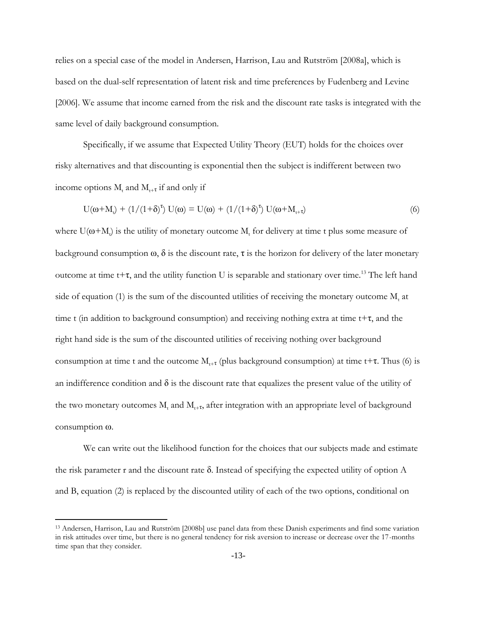relies on a special case of the model in Andersen, Harrison, Lau and Rutström [2008a], which is based on the dual-self representation of latent risk and time preferences by Fudenberg and Levine [2006]. We assume that income earned from the risk and the discount rate tasks is integrated with the same level of daily background consumption.

Specifically, if we assume that Expected Utility Theory (EUT) holds for the choices over risky alternatives and that discounting is exponential then the subject is indifferent between two income options  $M_t$  and  $M_{t+\tau}$  if and only if

$$
U(\omega + M_t) + (1/(1+\delta)^{r}) U(\omega) = U(\omega) + (1/(1+\delta)^{r}) U(\omega + M_{t+\tau})
$$
\n(6)

where  $U(\omega + M_t)$  is the utility of monetary outcome  $M_t$  for delivery at time t plus some measure of background consumption  $\omega$ ,  $\delta$  is the discount rate,  $\tau$  is the horizon for delivery of the later monetary outcome at time t+ $\tau$ , and the utility function U is separable and stationary over time.<sup>13</sup> The left hand side of equation (1) is the sum of the discounted utilities of receiving the monetary outcome  $M_t$  at time t (in addition to background consumption) and receiving nothing extra at time  $t+\tau$ , and the right hand side is the sum of the discounted utilities of receiving nothing over background consumption at time t and the outcome  $M_{t+\tau}$  (plus background consumption) at time t+ $\tau$ . Thus (6) is an indifference condition and  $\delta$  is the discount rate that equalizes the present value of the utility of the two monetary outcomes  $M_t$  and  $M_{t+T}$ , after integration with an appropriate level of background consumption ω.

We can write out the likelihood function for the choices that our subjects made and estimate the risk parameter r and the discount rate  $\delta$ . Instead of specifying the expected utility of option A and B, equation (2) is replaced by the discounted utility of each of the two options, conditional on

<sup>13</sup> Andersen, Harrison, Lau and Rutström [2008b] use panel data from these Danish experiments and find some variation in risk attitudes over time, but there is no general tendency for risk aversion to increase or decrease over the 17-months time span that they consider.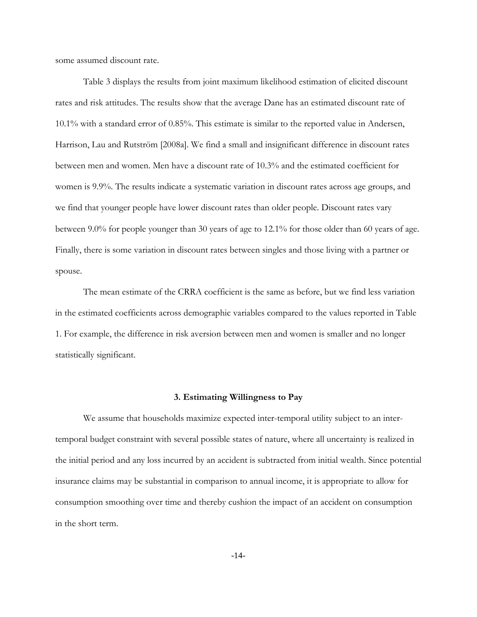some assumed discount rate.

Table 3 displays the results from joint maximum likelihood estimation of elicited discount rates and risk attitudes. The results show that the average Dane has an estimated discount rate of 10.1% with a standard error of 0.85%. This estimate is similar to the reported value in Andersen, Harrison, Lau and Rutström [2008a]. We find a small and insignificant difference in discount rates between men and women. Men have a discount rate of 10.3% and the estimated coefficient for women is 9.9%. The results indicate a systematic variation in discount rates across age groups, and we find that younger people have lower discount rates than older people. Discount rates vary between 9.0% for people younger than 30 years of age to 12.1% for those older than 60 years of age. Finally, there is some variation in discount rates between singles and those living with a partner or spouse.

The mean estimate of the CRRA coefficient is the same as before, but we find less variation in the estimated coefficients across demographic variables compared to the values reported in Table 1. For example, the difference in risk aversion between men and women is smaller and no longer statistically significant.

#### **3. Estimating Willingness to Pay**

We assume that households maximize expected inter-temporal utility subject to an intertemporal budget constraint with several possible states of nature, where all uncertainty is realized in the initial period and any loss incurred by an accident is subtracted from initial wealth. Since potential insurance claims may be substantial in comparison to annual income, it is appropriate to allow for consumption smoothing over time and thereby cushion the impact of an accident on consumption in the short term.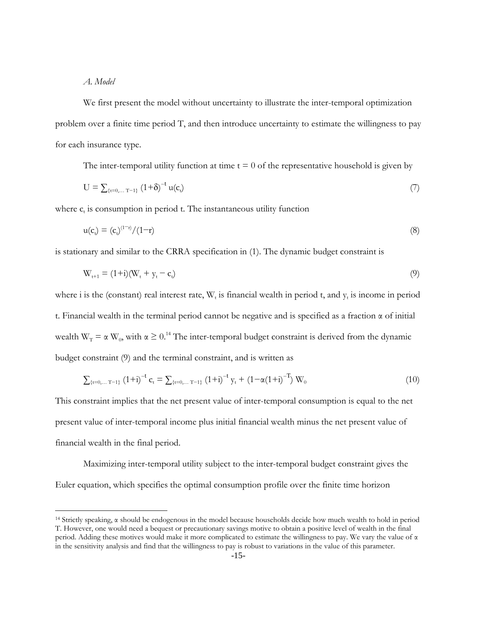#### *A. Model*

 $\overline{a}$ 

We first present the model without uncertainty to illustrate the inter-temporal optimization problem over a finite time period T, and then introduce uncertainty to estimate the willingness to pay for each insurance type.

The inter-temporal utility function at time  $t = 0$  of the representative household is given by

$$
U = \sum_{\{t=0,... T-1\}} (1+\delta)^{-t} u(c_t) \tag{7}
$$

where  $c_t$  is consumption in period t. The instantaneous utility function

$$
u(ct) = (ct)(1-r)/(1-r)
$$
\n(8)

is stationary and similar to the CRRA specification in (1). The dynamic budget constraint is

$$
W_{t+1} = (1+i)(W_t + y_t - c_t) \tag{9}
$$

where i is the (constant) real interest rate,  $W_t$  is financial wealth in period t, and  $y_t$  is income in period t. Financial wealth in the terminal period cannot be negative and is specified as a fraction  $\alpha$  of initial wealth  $W_T = \alpha W_0$ , with  $\alpha \ge 0.14$  The inter-temporal budget constraint is derived from the dynamic budget constraint (9) and the terminal constraint, and is written as

$$
\sum_{\{t=0,... T-1\}} (1+i)^{-t} c_t = \sum_{\{t=0,... T-1\}} (1+i)^{-t} y_t + (1-\alpha(1+i)^{-T}) W_0
$$
\n(10)

This constraint implies that the net present value of inter-temporal consumption is equal to the net present value of inter-temporal income plus initial financial wealth minus the net present value of financial wealth in the final period.

Maximizing inter-temporal utility subject to the inter-temporal budget constraint gives the Euler equation, which specifies the optimal consumption profile over the finite time horizon

<sup>&</sup>lt;sup>14</sup> Strictly speaking, α should be endogenous in the model because households decide how much wealth to hold in period T. However, one would need a bequest or precautionary savings motive to obtain a positive level of wealth in the final period. Adding these motives would make it more complicated to estimate the willingness to pay. We vary the value of  $\alpha$ in the sensitivity analysis and find that the willingness to pay is robust to variations in the value of this parameter.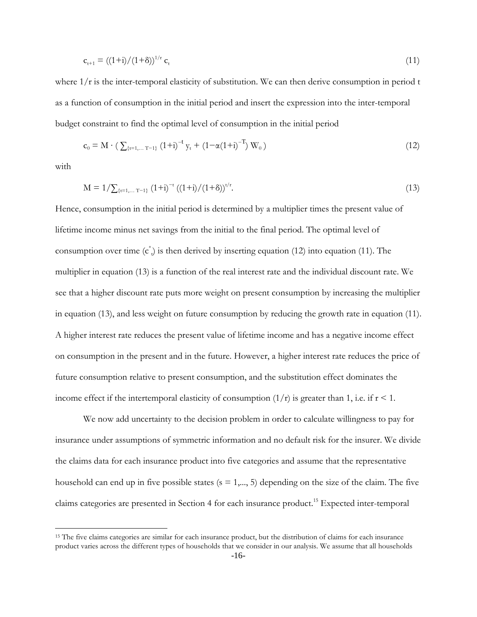$$
c_{t+1} = ((1+i)/(1+\delta))^{1/r} c_t
$$
\n(11)

where  $1/r$  is the inter-temporal elasticity of substitution. We can then derive consumption in period t as a function of consumption in the initial period and insert the expression into the inter-temporal budget constraint to find the optimal level of consumption in the initial period

$$
c_0 = M \cdot \left( \sum_{\{t=1,...,T-1\}} (1+i)^{-t} y_t + (1-\alpha(1+i)^{-T}) W_0 \right) \tag{12}
$$

with

 $\overline{a}$ 

$$
M = 1/\sum_{\{t=1,...T-1\}} (1+i)^{-t} ((1+i)/(1+\delta))^{t/r}.
$$
\n(13)

Hence, consumption in the initial period is determined by a multiplier times the present value of lifetime income minus net savings from the initial to the final period. The optimal level of consumption over time  $(c^*)$  is then derived by inserting equation (12) into equation (11). The multiplier in equation (13) is a function of the real interest rate and the individual discount rate. We see that a higher discount rate puts more weight on present consumption by increasing the multiplier in equation (13), and less weight on future consumption by reducing the growth rate in equation (11). A higher interest rate reduces the present value of lifetime income and has a negative income effect on consumption in the present and in the future. However, a higher interest rate reduces the price of future consumption relative to present consumption, and the substitution effect dominates the income effect if the intertemporal elasticity of consumption  $(1/r)$  is greater than 1, i.e. if  $r < 1$ .

We now add uncertainty to the decision problem in order to calculate willingness to pay for insurance under assumptions of symmetric information and no default risk for the insurer. We divide the claims data for each insurance product into five categories and assume that the representative household can end up in five possible states  $(s = 1, \ldots, 5)$  depending on the size of the claim. The five claims categories are presented in Section 4 for each insurance product. <sup>15</sup> Expected inter-temporal

<sup>&</sup>lt;sup>15</sup> The five claims categories are similar for each insurance product, but the distribution of claims for each insurance product varies across the different types of households that we consider in our analysis. We assume that all households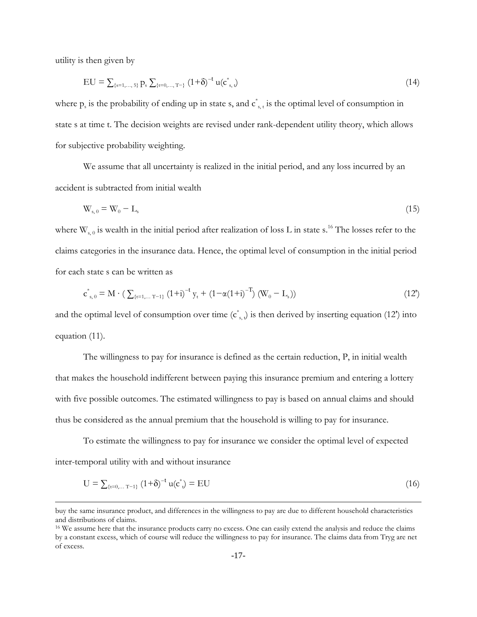utility is then given by

 $\overline{a}$ 

$$
EU = \sum_{\{s=1,\dots,5\}} p_s \sum_{\{t=0,\dots,T-\}} (1+\delta)^{-t} u(c^*_{s,t})
$$
\n(14)

where  $p_s$  is the probability of ending up in state s, and  $c_{s,t}^*$  is the optimal level of consumption in state s at time t. The decision weights are revised under rank-dependent utility theory, which allows for subjective probability weighting.

We assume that all uncertainty is realized in the initial period, and any loss incurred by an accident is subtracted from initial wealth

$$
W_{s,0} = W_0 - L_s \tag{15}
$$

where  $W_{s,0}$  is wealth in the initial period after realization of loss L in state s.<sup>16</sup> The losses refer to the claims categories in the insurance data. Hence, the optimal level of consumption in the initial period for each state s can be written as

$$
c_{s,0}^{*} = M \cdot (\sum_{\{t=1,...T-1\}} (1+i)^{-t} y_t + (1-\alpha(1+i)^{-T}) (W_0 - L_s))
$$
\n(12')

and the optimal level of consumption over time  $(c^*_{s,t})$  is then derived by inserting equation (12') into equation (11).

The willingness to pay for insurance is defined as the certain reduction, P, in initial wealth that makes the household indifferent between paying this insurance premium and entering a lottery with five possible outcomes. The estimated willingness to pay is based on annual claims and should thus be considered as the annual premium that the household is willing to pay for insurance.

To estimate the willingness to pay for insurance we consider the optimal level of expected inter-temporal utility with and without insurance

$$
U = \sum_{\{t=0,... T-1\}} (1+\delta)^{-t} u(c^*) = EU
$$
 (16)

buy the same insurance product, and differences in the willingness to pay are due to different household characteristics and distributions of claims.

<sup>&</sup>lt;sup>16</sup> We assume here that the insurance products carry no excess. One can easily extend the analysis and reduce the claims by a constant excess, which of course will reduce the willingness to pay for insurance. The claims data from Tryg are net of excess.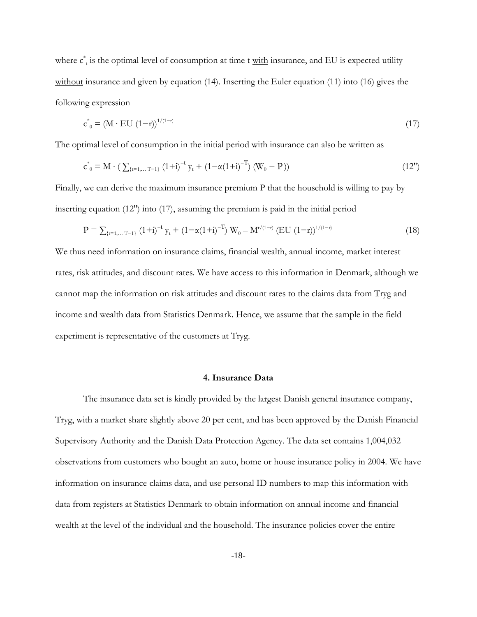where  $c^*$  is the optimal level of consumption at time t with insurance, and EU is expected utility without insurance and given by equation (14). Inserting the Euler equation (11) into (16) gives the following expression

$$
c^*_{0} = (M \cdot EU (1-r))^{1/(1-r)} \tag{17}
$$

The optimal level of consumption in the initial period with insurance can also be written as

$$
c_{0}^{*} = M \cdot (\sum_{\{t=1,...T-1\}} (1+i)^{-t} y_{t} + (1-\alpha(1+i)^{-T}) (W_{0} - P))
$$
\n(12")

Finally, we can derive the maximum insurance premium P that the household is willing to pay by inserting equation (12'') into (17), assuming the premium is paid in the initial period

$$
P = \sum_{\{t=1,... T-1\}} (1+i)^{-t} y_t + (1 - \alpha (1+i)^{-T}) W_0 - M^{r/(1-r)} (EU (1-r))^{1/(1-r)}
$$
(18)

We thus need information on insurance claims, financial wealth, annual income, market interest rates, risk attitudes, and discount rates. We have access to this information in Denmark, although we cannot map the information on risk attitudes and discount rates to the claims data from Tryg and income and wealth data from Statistics Denmark. Hence, we assume that the sample in the field experiment is representative of the customers at Tryg.

#### **4. Insurance Data**

The insurance data set is kindly provided by the largest Danish general insurance company, Tryg, with a market share slightly above 20 per cent, and has been approved by the Danish Financial Supervisory Authority and the Danish Data Protection Agency. The data set contains 1,004,032 observations from customers who bought an auto, home or house insurance policy in 2004. We have information on insurance claims data, and use personal ID numbers to map this information with data from registers at Statistics Denmark to obtain information on annual income and financial wealth at the level of the individual and the household. The insurance policies cover the entire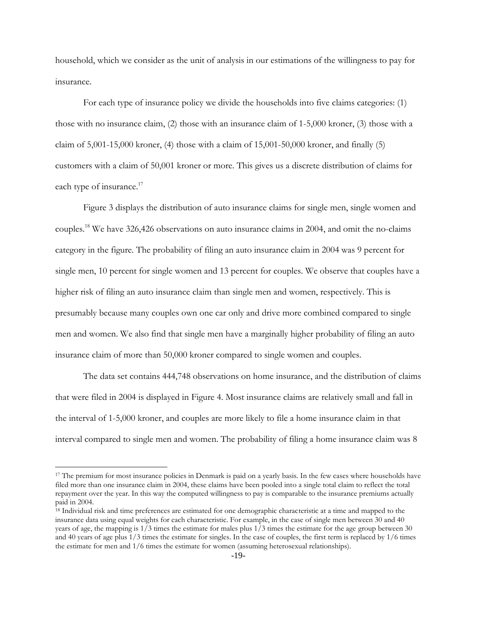household, which we consider as the unit of analysis in our estimations of the willingness to pay for insurance.

For each type of insurance policy we divide the households into five claims categories: (1) those with no insurance claim, (2) those with an insurance claim of 1-5,000 kroner, (3) those with a claim of  $5,001$ -15,000 kroner, (4) those with a claim of  $15,001$ -50,000 kroner, and finally (5) customers with a claim of 50,001 kroner or more. This gives us a discrete distribution of claims for each type of insurance.<sup>17</sup>

Figure 3 displays the distribution of auto insurance claims for single men, single women and couples.<sup>18</sup> We have 326,426 observations on auto insurance claims in 2004, and omit the no-claims category in the figure. The probability of filing an auto insurance claim in 2004 was 9 percent for single men, 10 percent for single women and 13 percent for couples. We observe that couples have a higher risk of filing an auto insurance claim than single men and women, respectively. This is presumably because many couples own one car only and drive more combined compared to single men and women. We also find that single men have a marginally higher probability of filing an auto insurance claim of more than 50,000 kroner compared to single women and couples.

The data set contains 444,748 observations on home insurance, and the distribution of claims that were filed in 2004 is displayed in Figure 4. Most insurance claims are relatively small and fall in the interval of 1-5,000 kroner, and couples are more likely to file a home insurance claim in that interval compared to single men and women. The probability of filing a home insurance claim was 8

<sup>&</sup>lt;sup>17</sup> The premium for most insurance policies in Denmark is paid on a yearly basis. In the few cases where households have filed more than one insurance claim in 2004, these claims have been pooled into a single total claim to reflect the total repayment over the year. In this way the computed willingness to pay is comparable to the insurance premiums actually paid in 2004.

<sup>18</sup> Individual risk and time preferences are estimated for one demographic characteristic at a time and mapped to the insurance data using equal weights for each characteristic. For example, in the case of single men between 30 and 40 years of age, the mapping is  $1/3$  times the estimate for males plus  $1/3$  times the estimate for the age group between 30 and 40 years of age plus 1/3 times the estimate for singles. In the case of couples, the first term is replaced by 1/6 times the estimate for men and 1/6 times the estimate for women (assuming heterosexual relationships).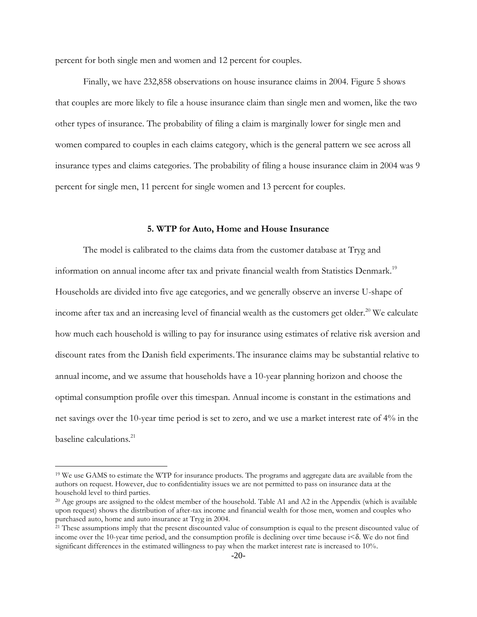percent for both single men and women and 12 percent for couples.

Finally, we have 232,858 observations on house insurance claims in 2004. Figure 5 shows that couples are more likely to file a house insurance claim than single men and women, like the two other types of insurance. The probability of filing a claim is marginally lower for single men and women compared to couples in each claims category, which is the general pattern we see across all insurance types and claims categories. The probability of filing a house insurance claim in 2004 was 9 percent for single men, 11 percent for single women and 13 percent for couples.

#### **5. WTP for Auto, Home and House Insurance**

The model is calibrated to the claims data from the customer database at Tryg and information on annual income after tax and private financial wealth from Statistics Denmark.<sup>19</sup> Households are divided into five age categories, and we generally observe an inverse U-shape of income after tax and an increasing level of financial wealth as the customers get older. <sup>20</sup> We calculate how much each household is willing to pay for insurance using estimates of relative risk aversion and discount rates from the Danish field experiments.The insurance claims may be substantial relative to annual income, and we assume that households have a 10-year planning horizon and choose the optimal consumption profile over this timespan. Annual income is constant in the estimations and net savings over the 10-year time period is set to zero, and we use a market interest rate of 4% in the baseline calculations.<sup>21</sup>

<sup>&</sup>lt;sup>19</sup> We use GAMS to estimate the WTP for insurance products. The programs and aggregate data are available from the authors on request. However, due to confidentiality issues we are not permitted to pass on insurance data at the household level to third parties.

 $20$  Age groups are assigned to the oldest member of the household. Table A1 and A2 in the Appendix (which is available upon request) shows the distribution of after-tax income and financial wealth for those men, women and couples who purchased auto, home and auto insurance at Tryg in 2004.

<sup>&</sup>lt;sup>21</sup> These assumptions imply that the present discounted value of consumption is equal to the present discounted value of income over the 10-year time period, and the consumption profile is declining over time because  $i < \delta$ . We do not find significant differences in the estimated willingness to pay when the market interest rate is increased to 10%.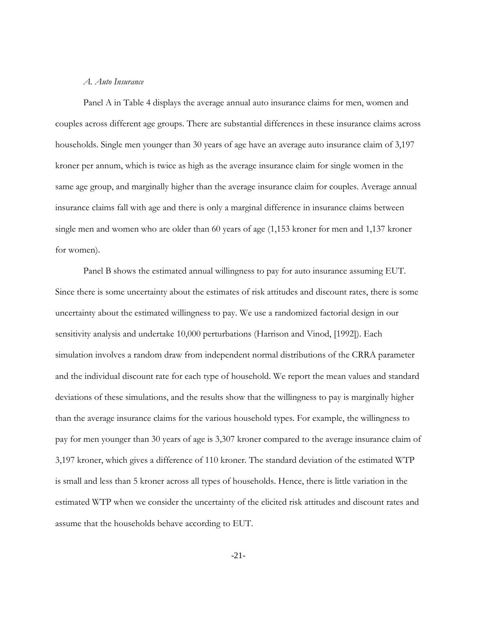#### *A. Auto Insurance*

Panel A in Table 4 displays the average annual auto insurance claims for men, women and couples across different age groups. There are substantial differences in these insurance claims across households. Single men younger than 30 years of age have an average auto insurance claim of 3,197 kroner per annum, which is twice as high as the average insurance claim for single women in the same age group, and marginally higher than the average insurance claim for couples. Average annual insurance claims fall with age and there is only a marginal difference in insurance claims between single men and women who are older than 60 years of age (1,153 kroner for men and 1,137 kroner for women).

Panel B shows the estimated annual willingness to pay for auto insurance assuming EUT. Since there is some uncertainty about the estimates of risk attitudes and discount rates, there is some uncertainty about the estimated willingness to pay. We use a randomized factorial design in our sensitivity analysis and undertake 10,000 perturbations (Harrison and Vinod, [1992]). Each simulation involves a random draw from independent normal distributions of the CRRA parameter and the individual discount rate for each type of household. We report the mean values and standard deviations of these simulations, and the results show that the willingness to pay is marginally higher than the average insurance claims for the various household types. For example, the willingness to pay for men younger than 30 years of age is 3,307 kroner compared to the average insurance claim of 3,197 kroner, which gives a difference of 110 kroner. The standard deviation of the estimated WTP is small and less than 5 kroner across all types of households. Hence, there is little variation in the estimated WTP when we consider the uncertainty of the elicited risk attitudes and discount rates and assume that the households behave according to EUT.

-21-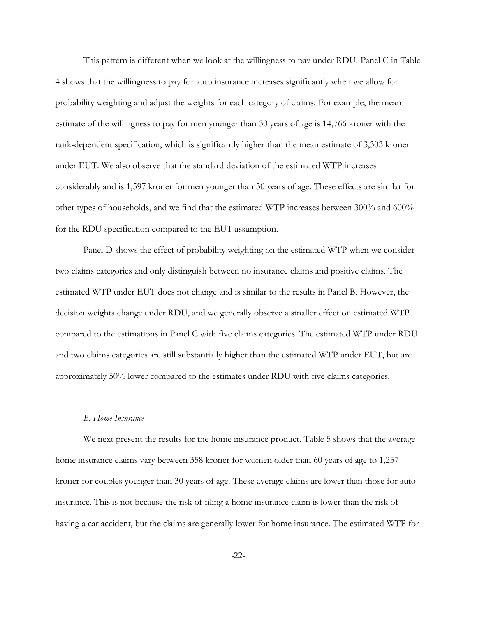This pattern is different when we look at the willingness to pay under RDU. Panel C in Table 4 shows that the willingness to pay for auto insurance increases significantly when we allow for probability weighting and adjust the weights for each category of claims. For example, the mean estimate of the willingness to pay for men younger than 30 years of age is 14,766 kroner with the rank-dependent specification, which is significantly higher than the mean estimate of 3,303 kroner under EUT. We also observe that the standard deviation of the estimated WTP increases considerably and is 1,597 kroner for men younger than 30 years of age. These effects are similar for other types of households, and we find that the estimated WTP increases between 300% and 600% for the RDU specification compared to the EUT assumption.

Panel D shows the effect of probability weighting on the estimated WTP when we consider two claims categories and only distinguish between no insurance claims and positive claims. The estimated WTP under EUT does not change and is similar to the results in Panel B. However, the decision weights change under RDU, and we generally observe a smaller effect on estimated WTP compared to the estimations in Panel C with five claims categories. The estimated WTP under RDU and two claims categories are still substantially higher than the estimated WTP under EUT, but are approximately 50% lower compared to the estimates under RDU with five claims categories.

#### *B. Home Insurance*

We next present the results for the home insurance product. Table 5 shows that the average home insurance claims vary between 358 kroner for women older than 60 years of age to 1,257 kroner for couples younger than 30 years of age. These average claims are lower than those for auto insurance. This is not because the risk of filing a home insurance claim is lower than the risk of having a car accident, but the claims are generally lower for home insurance. The estimated WTP for

-22-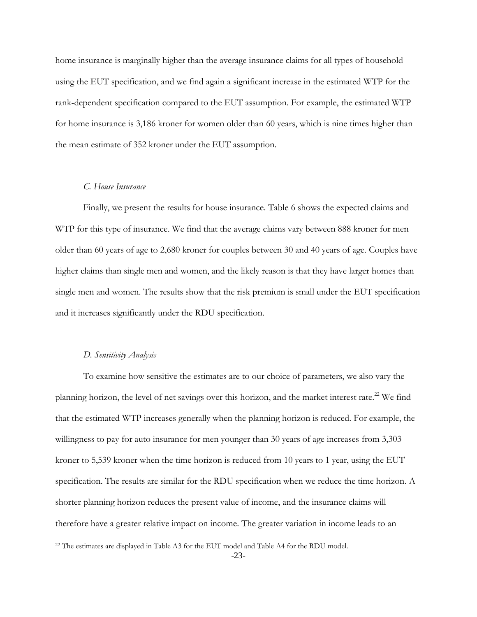home insurance is marginally higher than the average insurance claims for all types of household using the EUT specification, and we find again a significant increase in the estimated WTP for the rank-dependent specification compared to the EUT assumption. For example, the estimated WTP for home insurance is 3,186 kroner for women older than 60 years, which is nine times higher than the mean estimate of 352 kroner under the EUT assumption.

#### *C. House Insurance*

Finally, we present the results for house insurance. Table 6 shows the expected claims and WTP for this type of insurance. We find that the average claims vary between 888 kroner for men older than 60 years of age to 2,680 kroner for couples between 30 and 40 years of age. Couples have higher claims than single men and women, and the likely reason is that they have larger homes than single men and women. The results show that the risk premium is small under the EUT specification and it increases significantly under the RDU specification.

#### *D. Sensitivity Analysis*

 $\overline{a}$ 

To examine how sensitive the estimates are to our choice of parameters, we also vary the planning horizon, the level of net savings over this horizon, and the market interest rate.<sup>22</sup> We find that the estimated WTP increases generally when the planning horizon is reduced. For example, the willingness to pay for auto insurance for men younger than 30 years of age increases from 3,303 kroner to 5,539 kroner when the time horizon is reduced from 10 years to 1 year, using the EUT specification. The results are similar for the RDU specification when we reduce the time horizon. A shorter planning horizon reduces the present value of income, and the insurance claims will therefore have a greater relative impact on income. The greater variation in income leads to an

<sup>&</sup>lt;sup>22</sup> The estimates are displayed in Table A3 for the EUT model and Table A4 for the RDU model.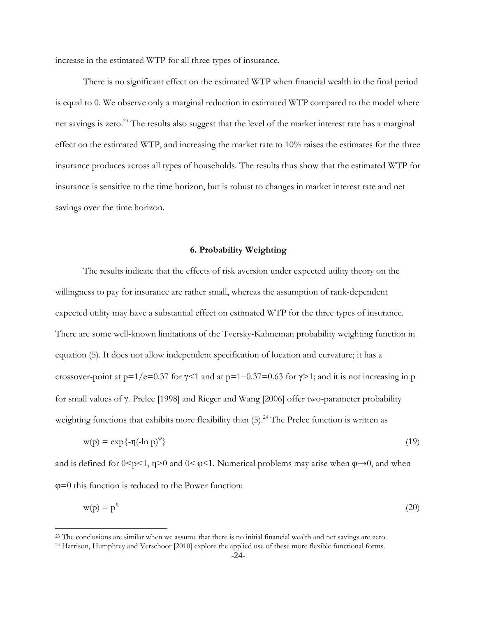increase in the estimated WTP for all three types of insurance.

There is no significant effect on the estimated WTP when financial wealth in the final period is equal to 0. We observe only a marginal reduction in estimated WTP compared to the model where net savings is zero.<sup>23</sup> The results also suggest that the level of the market interest rate has a marginal effect on the estimated WTP, and increasing the market rate to 10% raises the estimates for the three insurance produces across all types of households. The results thus show that the estimated WTP for insurance is sensitive to the time horizon, but is robust to changes in market interest rate and net savings over the time horizon.

#### **6. Probability Weighting**

The results indicate that the effects of risk aversion under expected utility theory on the willingness to pay for insurance are rather small, whereas the assumption of rank-dependent expected utility may have a substantial effect on estimated WTP for the three types of insurance. There are some well-known limitations of the Tversky-Kahneman probability weighting function in equation (5). It does not allow independent specification of location and curvature; it has a crossover-point at  $p=1/e=0.37$  for  $\gamma<1$  and at  $p=1-0.37=0.63$  for  $\gamma>1$ ; and it is not increasing in p for small values of γ. Prelec [1998] and Rieger and Wang [2006] offer two-parameter probability weighting functions that exhibits more flexibility than  $(5)$ .<sup>24</sup> The Prelec function is written as

$$
w(p) = \exp\{-\eta(-\ln p)^{\varphi}\}\tag{19}
$$

and is defined for  $0 \le p \le 1$ ,  $\eta \ge 0$  and  $0 \le p \le 1$ . Numerical problems may arise when  $\varphi \rightarrow 0$ , and when φ=0 this function is reduced to the Power function:

$$
w(p) = p^{\eta} \tag{20}
$$

<sup>&</sup>lt;sup>23</sup> The conclusions are similar when we assume that there is no initial financial wealth and net savings are zero.

<sup>24</sup> Harrison, Humphrey and Verschoor [2010] explore the applied use of these more flexible functional forms.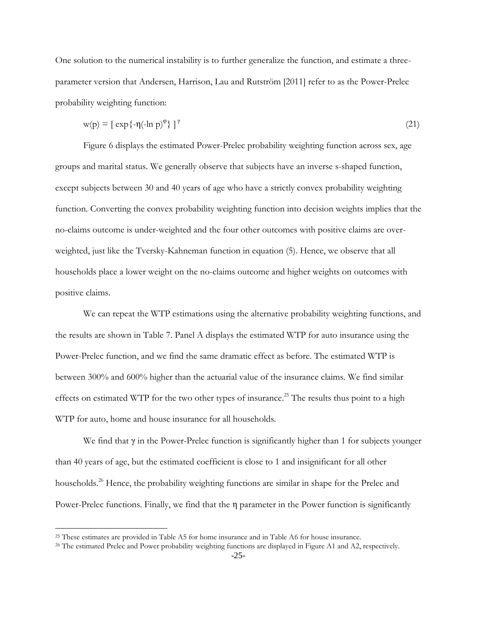One solution to the numerical instability is to further generalize the function, and estimate a threeparameter version that Andersen, Harrison, Lau and Rutström [2011] refer to as the Power-Prelec probability weighting function:

$$
w(p) = \left[ exp\left\{-\eta(-\ln p)^{\varphi}\right\} \right]^\gamma \tag{21}
$$

Figure 6 displays the estimated Power-Prelec probability weighting function across sex, age groups and marital status. We generally observe that subjects have an inverse s-shaped function, except subjects between 30 and 40 years of age who have a strictly convex probability weighting function. Converting the convex probability weighting function into decision weights implies that the no-claims outcome is under-weighted and the four other outcomes with positive claims are overweighted, just like the Tversky-Kahneman function in equation (5). Hence, we observe that all households place a lower weight on the no-claims outcome and higher weights on outcomes with positive claims.

We can repeat the WTP estimations using the alternative probability weighting functions, and the results are shown in Table 7. Panel A displays the estimated WTP for auto insurance using the Power-Prelec function, and we find the same dramatic effect as before. The estimated WTP is between 300% and 600% higher than the actuarial value of the insurance claims. We find similar effects on estimated WTP for the two other types of insurance.<sup>25</sup> The results thus point to a high WTP for auto, home and house insurance for all households.

We find that  $\gamma$  in the Power-Prelec function is significantly higher than 1 for subjects younger than 40 years of age, but the estimated coefficient is close to 1 and insignificant for all other households.<sup>26</sup> Hence, the probability weighting functions are similar in shape for the Prelec and Power-Prelec functions. Finally, we find that the  $\eta$  parameter in the Power function is significantly

<sup>25</sup> These estimates are provided in Table A5 for home insurance and in Table A6 for house insurance.

<sup>&</sup>lt;sup>26</sup> The estimated Prelec and Power probability weighting functions are displayed in Figure A1 and A2, respectively.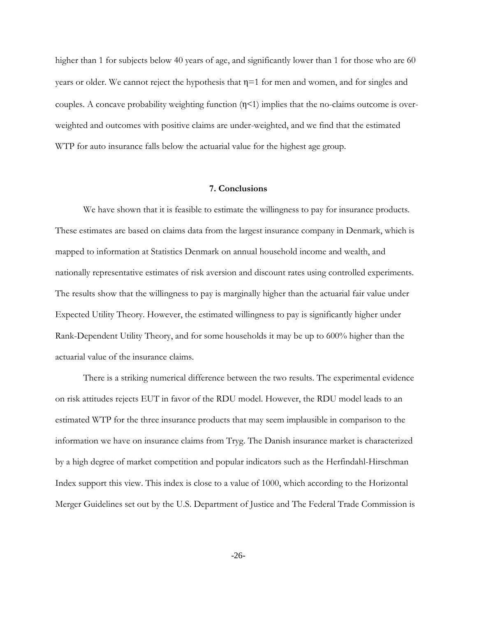higher than 1 for subjects below 40 years of age, and significantly lower than 1 for those who are 60 years or older. We cannot reject the hypothesis that η=1 for men and women, and for singles and couples. A concave probability weighting function  $(\eta < 1)$  implies that the no-claims outcome is overweighted and outcomes with positive claims are under-weighted, and we find that the estimated WTP for auto insurance falls below the actuarial value for the highest age group.

#### **7. Conclusions**

We have shown that it is feasible to estimate the willingness to pay for insurance products. These estimates are based on claims data from the largest insurance company in Denmark, which is mapped to information at Statistics Denmark on annual household income and wealth, and nationally representative estimates of risk aversion and discount rates using controlled experiments. The results show that the willingness to pay is marginally higher than the actuarial fair value under Expected Utility Theory. However, the estimated willingness to pay is significantly higher under Rank-Dependent Utility Theory, and for some households it may be up to 600% higher than the actuarial value of the insurance claims.

There is a striking numerical difference between the two results. The experimental evidence on risk attitudes rejects EUT in favor of the RDU model. However, the RDU model leads to an estimated WTP for the three insurance products that may seem implausible in comparison to the information we have on insurance claims from Tryg. The Danish insurance market is characterized by a high degree of market competition and popular indicators such as the Herfindahl-Hirschman Index support this view. This index is close to a value of 1000, which according to the Horizontal Merger Guidelines set out by the U.S. Department of Justice and The Federal Trade Commission is

-26-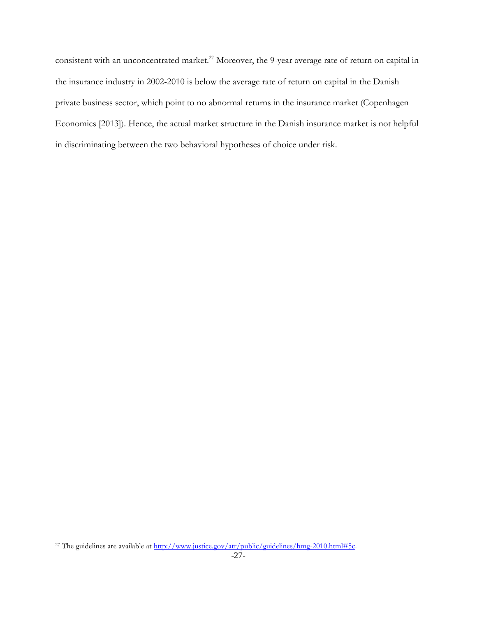consistent with an unconcentrated market.<sup>27</sup> Moreover, the 9-year average rate of return on capital in the insurance industry in 2002-2010 is below the average rate of return on capital in the Danish private business sector, which point to no abnormal returns in the insurance market (Copenhagen Economics [2013]). Hence, the actual market structure in the Danish insurance market is not helpful in discriminating between the two behavioral hypotheses of choice under risk.

<sup>&</sup>lt;sup>27</sup> The guidelines are available at [http://www.justice.gov/atr/public/guidelines/hmg-2010.html#5c.](http://www.justice.gov/atr/public/guidelines/hmg-2010.html#5c)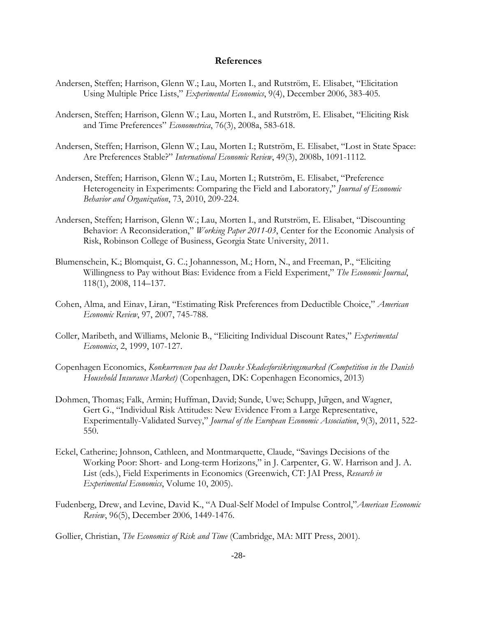#### **References**

- Andersen, Steffen; Harrison, Glenn W.; Lau, Morten I., and Rutström, E. Elisabet, "Elicitation Using Multiple Price Lists," *Experimental Economics*, 9(4), December 2006, 383-405.
- Andersen, Steffen; Harrison, Glenn W.; Lau, Morten I., and Rutström, E. Elisabet, "Eliciting Risk and Time Preferences" *Econometrica*, 76(3), 2008a, 583-618.
- Andersen, Steffen; Harrison, Glenn W.; Lau, Morten I.; Rutström, E. Elisabet, "Lost in State Space: Are Preferences Stable?" *International Economic Review*, 49(3), 2008b, 1091-1112.
- Andersen, Steffen; Harrison, Glenn W.; Lau, Morten I.; Rutström, E. Elisabet, "Preference Heterogeneity in Experiments: Comparing the Field and Laboratory," *Journal of Economic Behavior and Organization*, 73, 2010, 209-224.
- Andersen, Steffen; Harrison, Glenn W.; Lau, Morten I., and Rutström, E. Elisabet, "Discounting Behavior: A Reconsideration," *Working Paper 2011-03*, Center for the Economic Analysis of Risk, Robinson College of Business, Georgia State University, 2011.
- Blumenschein, K.; Blomquist, G. C.; Johannesson, M.; Horn, N., and Freeman, P., "Eliciting Willingness to Pay without Bias: Evidence from a Field Experiment," *The Economic Journal*, 118(1), 2008, 114–137.
- Cohen, Alma, and Einav, Liran, "Estimating Risk Preferences from Deductible Choice," *American Economic Review*, 97, 2007, 745-788.
- Coller, Maribeth, and Williams, Melonie B., "Eliciting Individual Discount Rates," *Experimental Economics*, 2, 1999, 107-127.
- Copenhagen Economics, *Konkurrencen paa det Danske Skadesforsikringsmarked (Competition in the Danish Household Insurance Market)* (Copenhagen, DK: Copenhagen Economics, 2013)
- Dohmen, Thomas; Falk, Armin; Huffman, David; Sunde, Uwe; Schupp, Jurgen, and Wagner, Gert G., "Individual Risk Attitudes: New Evidence From a Large Representative, Experimentally-Validated Survey," *Journal of the European Economic Association*, 9(3), 2011, 522- 550.
- Eckel, Catherine; Johnson, Cathleen, and Montmarquette, Claude, "Savings Decisions of the Working Poor: Short- and Long-term Horizons," in J. Carpenter, G. W. Harrison and J. A. List (eds.), Field Experiments in Economics (Greenwich, CT: JAI Press, *Research in Experimental Economics*, Volume 10, 2005).
- Fudenberg, Drew, and Levine, David K., "A Dual-Self Model of Impulse Control,"*American Economic Review*, 96(5), December 2006, 1449-1476.

Gollier, Christian, *The Economics of Risk and Time* (Cambridge, MA: MIT Press, 2001).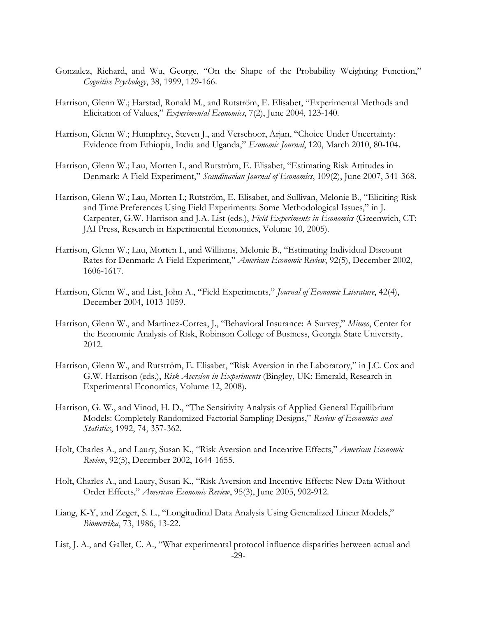- Gonzalez, Richard, and Wu, George, "On the Shape of the Probability Weighting Function," *Cognitive Psychology*, 38, 1999, 129-166.
- Harrison, Glenn W.; Harstad, Ronald M., and Rutström, E. Elisabet, "Experimental Methods and Elicitation of Values," *Experimental Economics*, 7(2), June 2004, 123-140.
- Harrison, Glenn W.; Humphrey, Steven J., and Verschoor, Arjan, "Choice Under Uncertainty: Evidence from Ethiopia, India and Uganda," *Economic Journal*, 120, March 2010, 80-104.
- Harrison, Glenn W.; Lau, Morten I., and Rutström, E. Elisabet, "Estimating Risk Attitudes in Denmark: A Field Experiment," *Scandinavian Journal of Economics*, 109(2), June 2007, 341-368.
- Harrison, Glenn W.; Lau, Morten I.; Rutström, E. Elisabet, and Sullivan, Melonie B., "Eliciting Risk and Time Preferences Using Field Experiments: Some Methodological Issues," in J. Carpenter, G.W. Harrison and J.A. List (eds.), *Field Experiments in Economics* (Greenwich, CT: JAI Press, Research in Experimental Economics, Volume 10, 2005).
- Harrison, Glenn W.; Lau, Morten I., and Williams, Melonie B., "Estimating Individual Discount Rates for Denmark: A Field Experiment," *American Economic Review*, 92(5), December 2002, 1606-1617.
- Harrison, Glenn W., and List, John A., "Field Experiments," *Journal of Economic Literature*, 42(4), December 2004, 1013-1059.
- Harrison, Glenn W., and Martinez-Correa, J., "Behavioral Insurance: A Survey," *Mimeo*, Center for the Economic Analysis of Risk, Robinson College of Business, Georgia State University, 2012.
- Harrison, Glenn W., and Rutström, E. Elisabet, "Risk Aversion in the Laboratory," in J.C. Cox and G.W. Harrison (eds.), *Risk Aversion in Experiments* (Bingley, UK: Emerald, Research in Experimental Economics, Volume 12, 2008).
- Harrison, G. W., and Vinod, H. D., "The Sensitivity Analysis of Applied General Equilibrium Models: Completely Randomized Factorial Sampling Designs," *Review of Economics and Statistics*, 1992, 74, 357-362.
- Holt, Charles A., and Laury, Susan K., "Risk Aversion and Incentive Effects," *American Economic Review*, 92(5), December 2002, 1644-1655.
- Holt, Charles A., and Laury, Susan K., "Risk Aversion and Incentive Effects: New Data Without Order Effects," *American Economic Review*, 95(3), June 2005, 902-912.
- Liang, K-Y, and Zeger, S. L., "Longitudinal Data Analysis Using Generalized Linear Models," *Biometrika*, 73, 1986, 13-22.
- -29- List, J. A., and Gallet, C. A., "What experimental protocol influence disparities between actual and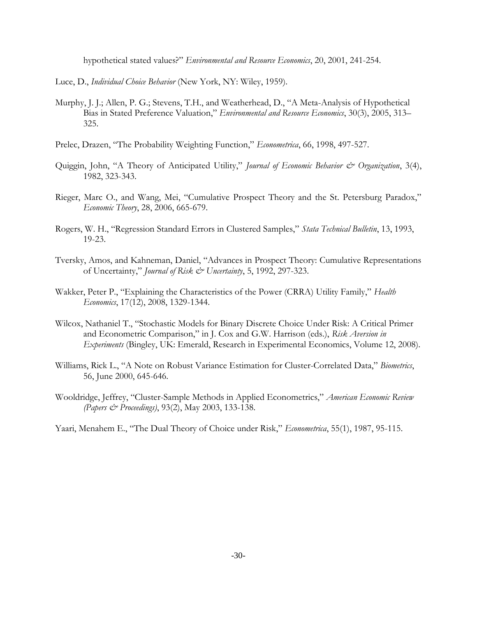hypothetical stated values?" *Environmental and Resource Economics*, 20, 2001, 241-254.

Luce, D., *Individual Choice Behavior* (New York, NY: Wiley, 1959).

- Murphy, J. J.; Allen, P. G.; Stevens, T.H., and Weatherhead, D., "A Meta-Analysis of Hypothetical Bias in Stated Preference Valuation," *Environmental and Resource Economics*, 30(3), 2005, 313– 325.
- Prelec, Drazen, "The Probability Weighting Function," *Econometrica*, 66, 1998, 497-527.
- Quiggin, John, "A Theory of Anticipated Utility," *Journal of Economic Behavior & Organization*, 3(4), 1982, 323-343.
- Rieger, Marc O., and Wang, Mei, "Cumulative Prospect Theory and the St. Petersburg Paradox," *Economic Theory*, 28, 2006, 665-679.
- Rogers, W. H., "Regression Standard Errors in Clustered Samples," *Stata Technical Bulletin*, 13, 1993, 19-23.
- Tversky, Amos, and Kahneman, Daniel, "Advances in Prospect Theory: Cumulative Representations of Uncertainty," *Journal of Risk & Uncertainty*, 5, 1992, 297-323.
- Wakker, Peter P., "Explaining the Characteristics of the Power (CRRA) Utility Family," *Health Economics*, 17(12), 2008, 1329-1344.
- Wilcox, Nathaniel T., "Stochastic Models for Binary Discrete Choice Under Risk: A Critical Primer and Econometric Comparison," in J. Cox and G.W. Harrison (eds.), *Risk Aversion in Experiments* (Bingley, UK: Emerald, Research in Experimental Economics, Volume 12, 2008).
- Williams, Rick L., "A Note on Robust Variance Estimation for Cluster-Correlated Data," *Biometrics*, 56, June 2000, 645-646.
- Wooldridge, Jeffrey, "Cluster-Sample Methods in Applied Econometrics," *American Economic Review (Papers & Proceedings)*, 93(2), May 2003, 133-138.

Yaari, Menahem E., "The Dual Theory of Choice under Risk," *Econometrica*, 55(1), 1987, 95-115.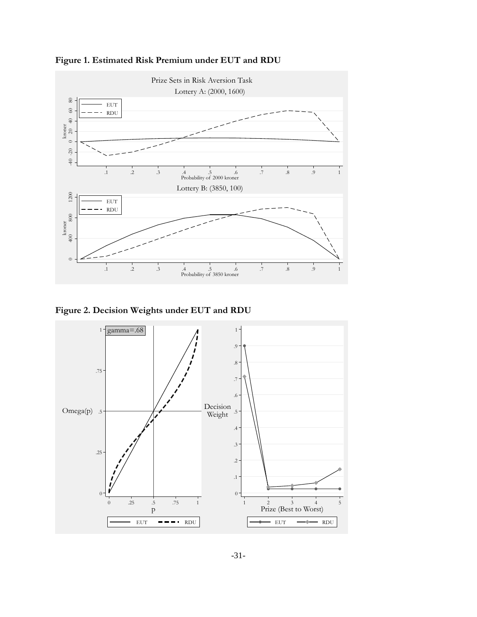

**Figure 1. Estimated Risk Premium under EUT and RDU**

**Figure 2. Decision Weights under EUT and RDU**

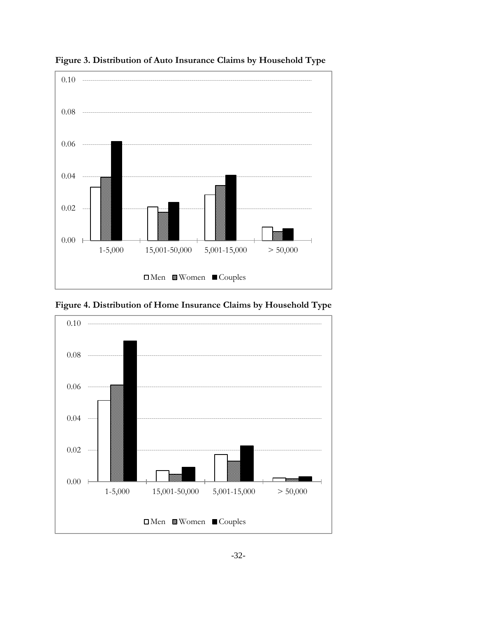

**Figure 3. Distribution of Auto Insurance Claims by Household Type**

**Figure 4. Distribution of Home Insurance Claims by Household Type**

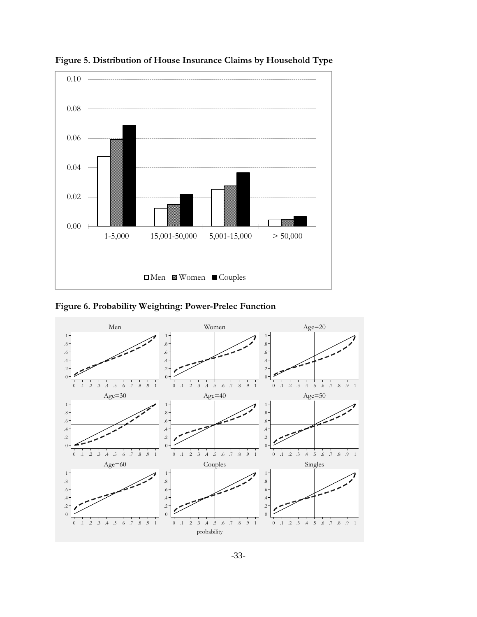

**Figure 5. Distribution of House Insurance Claims by Household Type**

**Figure 6. Probability Weighting: Power-Prelec Function**

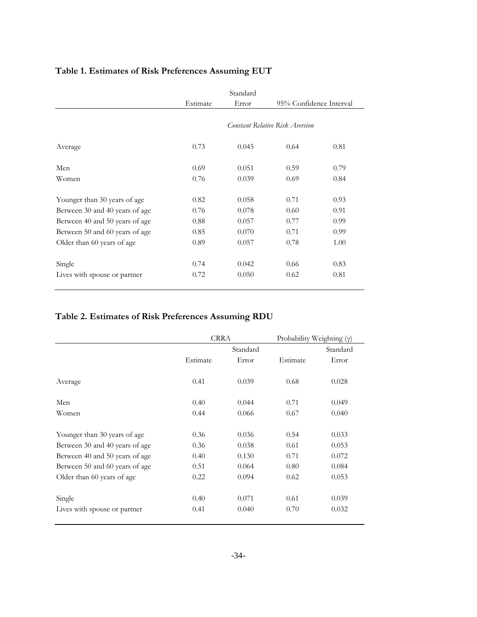|                                |                                 | Standard |                         |      |
|--------------------------------|---------------------------------|----------|-------------------------|------|
|                                | Estimate                        | Error    | 95% Confidence Interval |      |
|                                | Constant Relative Risk Aversion |          |                         |      |
| Average                        | 0.73                            | 0.045    | 0.64                    | 0.81 |
| Men                            | 0.69                            | 0.051    | 0.59                    | 0.79 |
| Women                          | 0.76                            | 0.039    | 0.69                    | 0.84 |
| Younger than 30 years of age   | 0.82                            | 0.058    | 0.71                    | 0.93 |
| Between 30 and 40 years of age | 0.76                            | 0.078    | 0.60                    | 0.91 |
| Between 40 and 50 years of age | 0.88                            | 0.057    | 0.77                    | 0.99 |
| Between 50 and 60 years of age | 0.85                            | 0.070    | 0.71                    | 0.99 |
| Older than 60 years of age     | 0.89                            | 0.057    | 0.78                    | 1.00 |
| Single                         | 0.74                            | 0.042    | 0.66                    | 0.83 |
| Lives with spouse or partner   | 0.72                            | 0.050    | 0.62                    | 0.81 |
|                                |                                 |          |                         |      |

# **Table 1. Estimates of Risk Preferences Assuming EUT**

## **Table 2. Estimates of Risk Preferences Assuming RDU**

|                                | <b>CRRA</b> |       |          | Probability Weighting $(\gamma)$ |  |
|--------------------------------|-------------|-------|----------|----------------------------------|--|
|                                | Standard    |       |          | Standard                         |  |
|                                | Estimate    | Error | Estimate | Error                            |  |
| Average                        | 0.41        | 0.039 | 0.68     | 0.028                            |  |
| Men                            | 0.40        | 0.044 | 0.71     | 0.049                            |  |
| Women                          | 0.44        | 0.066 | 0.67     | 0.040                            |  |
| Younger than 30 years of age   | 0.36        | 0.036 | 0.54     | 0.033                            |  |
| Between 30 and 40 years of age | 0.36        | 0.038 | 0.61     | 0.053                            |  |
| Between 40 and 50 years of age | 0.40        | 0.130 | 0.71     | 0.072                            |  |
| Between 50 and 60 years of age | 0.51        | 0.064 | 0.80     | 0.084                            |  |
| Older than 60 years of age     | 0.22        | 0.094 | 0.62     | 0.053                            |  |
| Single                         | 0.40        | 0.071 | 0.61     | 0.039                            |  |
| Lives with spouse or partner   | 0.41        | 0.040 | 0.70     | 0.032                            |  |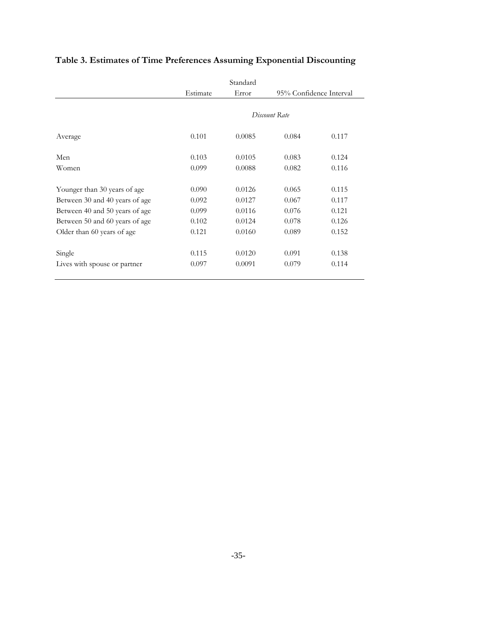|                                |               | Standard |                         |       |
|--------------------------------|---------------|----------|-------------------------|-------|
|                                | Estimate      | Error    | 95% Confidence Interval |       |
|                                |               |          |                         |       |
|                                | Discount Rate |          |                         |       |
| Average                        | 0.101         | 0.0085   | 0.084                   | 0.117 |
| Men                            | 0.103         | 0.0105   | 0.083                   | 0.124 |
| Women                          | 0.099         | 0.0088   | 0.082                   | 0.116 |
| Younger than 30 years of age   | 0.090         | 0.0126   | 0.065                   | 0.115 |
| Between 30 and 40 years of age | 0.092         | 0.0127   | 0.067                   | 0.117 |
| Between 40 and 50 years of age | 0.099         | 0.0116   | 0.076                   | 0.121 |
| Between 50 and 60 years of age | 0.102         | 0.0124   | 0.078                   | 0.126 |
| Older than 60 years of age     | 0.121         | 0.0160   | 0.089                   | 0.152 |
| Single                         | 0.115         | 0.0120   | 0.091                   | 0.138 |
| Lives with spouse or partner   | 0.097         | 0.0091   | 0.079                   | 0.114 |
|                                |               |          |                         |       |

# **Table 3. Estimates of Time Preferences Assuming Exponential Discounting**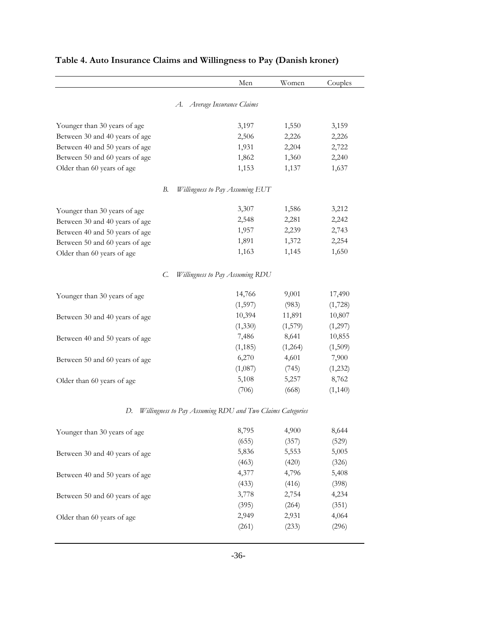|                                | Men                                                       | Women   | Couples  |
|--------------------------------|-----------------------------------------------------------|---------|----------|
|                                | A. Average Insurance Claims                               |         |          |
| Younger than 30 years of age   | 3,197                                                     | 1,550   | 3,159    |
| Between 30 and 40 years of age | 2,506                                                     | 2,226   | 2,226    |
| Between 40 and 50 years of age | 1,931                                                     | 2,204   | 2,722    |
| Between 50 and 60 years of age | 1,862                                                     | 1,360   | 2,240    |
| Older than 60 years of age     | 1,153                                                     | 1,137   | 1,637    |
| В.                             | <b>Willingness to Pay Assuming EUT</b>                    |         |          |
| Younger than 30 years of age   | 3,307                                                     | 1,586   | 3,212    |
| Between 30 and 40 years of age | 2,548                                                     | 2,281   | 2,242    |
| Between 40 and 50 years of age | 1,957                                                     | 2,239   | 2,743    |
| Between 50 and 60 years of age | 1,891                                                     | 1,372   | 2,254    |
| Older than 60 years of age     | 1,163                                                     | 1,145   | 1,650    |
| C.                             | Willingness to Pay Assuming RDU                           |         |          |
| Younger than 30 years of age   | 14,766                                                    | 9,001   | 17,490   |
|                                | (1,597)                                                   | (983)   | (1,728)  |
| Between 30 and 40 years of age | 10,394                                                    | 11,891  | 10,807   |
|                                | (1,330)                                                   | (1,579) | (1,297)  |
| Between 40 and 50 years of age | 7,486                                                     | 8,641   | 10,855   |
|                                | (1, 185)                                                  | (1,264) | (1,509)  |
| Between 50 and 60 years of age | 6,270                                                     | 4,601   | 7,900    |
|                                | (1,087)                                                   | (745)   | (1,232)  |
| Older than 60 years of age     | 5,108                                                     | 5,257   | 8,762    |
|                                | (706)                                                     | (668)   | (1, 140) |
| D.                             | Willingness to Pay Assuming RDU and Two Claims Categories |         |          |
| Younger than 30 years of age   | 8,795                                                     | 4,900   | 8,644    |
|                                | (655)                                                     | (357)   | (529)    |
| Between 30 and 40 years of age | 5,836                                                     | 5,553   | 5,005    |
|                                | (463)                                                     | (420)   | (326)    |
| Between 40 and 50 years of age | 4,377                                                     | 4,796   | 5,408    |
|                                | (433)                                                     | (416)   | (398)    |
| Between 50 and 60 years of age | 3,778                                                     | 2,754   | 4,234    |
|                                | (395)                                                     | (264)   | (351)    |
| Older than 60 years of age     | 2,949                                                     | 2,931   | 4,064    |
|                                | (261)                                                     | (233)   | (296)    |

# **Table 4. Auto Insurance Claims and Willingness to Pay (Danish kroner)**

 $\overline{\phantom{0}}$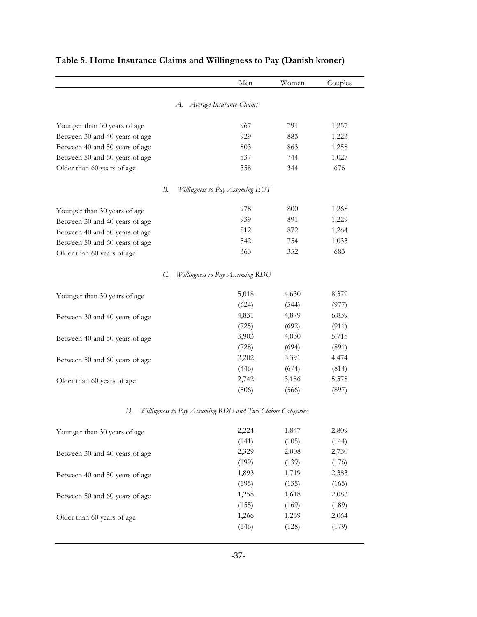|                                | Men                                                       | Women | Couples |
|--------------------------------|-----------------------------------------------------------|-------|---------|
|                                | A. Average Insurance Claims                               |       |         |
| Younger than 30 years of age   | 967                                                       | 791   | 1,257   |
| Between 30 and 40 years of age | 929                                                       | 883   | 1,223   |
| Between 40 and 50 years of age | 803                                                       | 863   | 1,258   |
| Between 50 and 60 years of age | 537                                                       | 744   | 1,027   |
| Older than 60 years of age     | 358                                                       | 344   | 676     |
| В.                             | Willingness to Pay Assuming EUT                           |       |         |
| Younger than 30 years of age   | 978                                                       | 800   | 1,268   |
| Between 30 and 40 years of age | 939                                                       | 891   | 1,229   |
| Between 40 and 50 years of age | 812                                                       | 872   | 1,264   |
| Between 50 and 60 years of age | 542                                                       | 754   | 1,033   |
| Older than 60 years of age     | 363                                                       | 352   | 683     |
| C.                             | <b>Willingness to Pay Assuming RDU</b>                    |       |         |
| Younger than 30 years of age   | 5,018                                                     | 4,630 | 8,379   |
|                                | (624)                                                     | (544) | (977)   |
| Between 30 and 40 years of age | 4,831                                                     | 4,879 | 6,839   |
|                                | (725)                                                     | (692) | (911)   |
| Between 40 and 50 years of age | 3,903                                                     | 4,030 | 5,715   |
|                                | (728)                                                     | (694) | (891)   |
| Between 50 and 60 years of age | 2,202                                                     | 3,391 | 4,474   |
|                                | (446)                                                     | (674) | (814)   |
| Older than 60 years of age     | 2,742                                                     | 3,186 | 5,578   |
|                                | (506)                                                     | (566) | (897)   |
| D.                             | Willingness to Pay Assuming RDU and Two Claims Categories |       |         |
| Younger than 30 years of age   | 2,224                                                     | 1,847 | 2,809   |
|                                | (141)                                                     | (105) | (144)   |
| Between 30 and 40 years of age | 2,329                                                     | 2,008 | 2,730   |
|                                | (199)                                                     | (139) | (176)   |
| Between 40 and 50 years of age | 1,893                                                     | 1,719 | 2,383   |
|                                | (195)                                                     | (135) | (165)   |
| Between 50 and 60 years of age | 1,258                                                     | 1,618 | 2,083   |
|                                | (155)                                                     | (169) | (189)   |
| Older than 60 years of age     | 1,266                                                     | 1,239 | 2,064   |
|                                | (146)                                                     | (128) | (179)   |

# **Table 5. Home Insurance Claims and Willingness to Pay (Danish kroner)**

 $\overline{\phantom{0}}$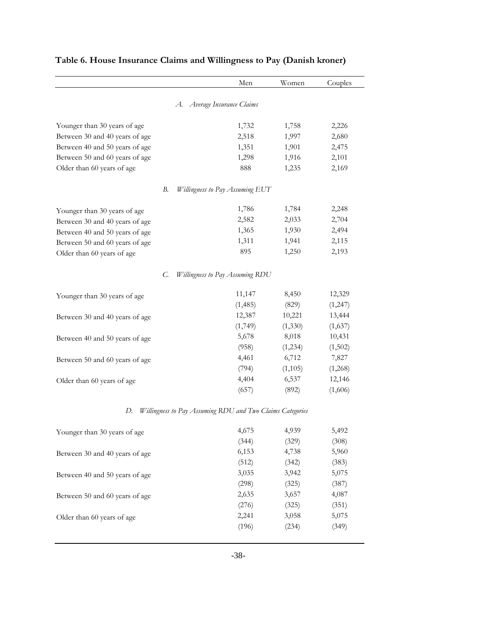|                                | Men                                                       | Women   | Couples |
|--------------------------------|-----------------------------------------------------------|---------|---------|
|                                | A. Average Insurance Claims                               |         |         |
| Younger than 30 years of age   | 1,732                                                     | 1,758   | 2,226   |
| Between 30 and 40 years of age | 2,518                                                     | 1,997   | 2,680   |
| Between 40 and 50 years of age | 1,351                                                     | 1,901   | 2,475   |
| Between 50 and 60 years of age | 1,298                                                     | 1,916   | 2,101   |
| Older than 60 years of age     | 888                                                       | 1,235   | 2,169   |
| В.                             | <b>Willingness to Pay Assuming EUT</b>                    |         |         |
| Younger than 30 years of age   | 1,786                                                     | 1,784   | 2,248   |
| Between 30 and 40 years of age | 2,582                                                     | 2,033   | 2,704   |
| Between 40 and 50 years of age | 1,365                                                     | 1,930   | 2,494   |
| Between 50 and 60 years of age | 1,311                                                     | 1,941   | 2,115   |
| Older than 60 years of age     | 895                                                       | 1,250   | 2,193   |
| C.                             | Willingness to Pay Assuming RDU                           |         |         |
| Younger than 30 years of age   | 11,147                                                    | 8,450   | 12,329  |
|                                | (1,485)                                                   | (829)   | (1,247) |
| Between 30 and 40 years of age | 12,387                                                    | 10,221  | 13,444  |
|                                | (1,749)                                                   | (1,330) | (1,637) |
| Between 40 and 50 years of age | 5,678                                                     | 8,018   | 10,431  |
|                                | (958)                                                     | (1,234) | (1,502) |
| Between 50 and 60 years of age | 4,461                                                     | 6,712   | 7,827   |
|                                | (794)                                                     | (1,105) | (1,268) |
| Older than 60 years of age     | 4,404                                                     | 6,537   | 12,146  |
|                                | (657)                                                     | (892)   | (1,606) |
| D.                             | Willingness to Pay Assuming RDU and Two Claims Categories |         |         |
| Younger than 30 years of age   | 4,675                                                     | 4,939   | 5,492   |
|                                | (344)                                                     | (329)   | (308)   |
| Between 30 and 40 years of age | 6,153                                                     | 4,738   | 5,960   |
|                                | (512)                                                     | (342)   | (383)   |
| Between 40 and 50 years of age | 3,035                                                     | 3,942   | 5,075   |
|                                | (298)                                                     | (325)   | (387)   |
| Between 50 and 60 years of age | 2,635                                                     | 3,657   | 4,087   |
|                                | (276)                                                     | (325)   | (351)   |
| Older than 60 years of age     | 2,241                                                     | 3,058   | 5,075   |
|                                | (196)                                                     | (234)   | (349)   |

# **Table 6. House Insurance Claims and Willingness to Pay (Danish kroner)**

 $\overline{\phantom{0}}$